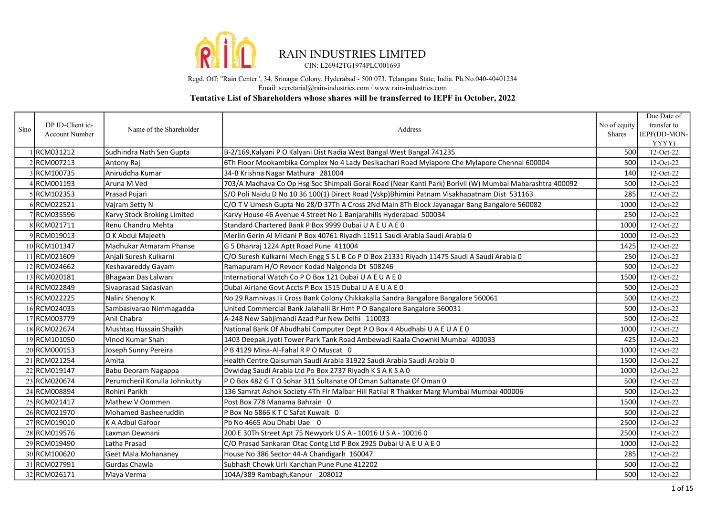

# RAIN INDUSTRIES LIMITED

CIN: L26942TG1974PLC001693

Regd. Off: "Rain Center", 34, Srinagar Colony, Hyderabad - 500 073, Telangana State, India. Ph.No.040-40401234 Email: secretarial@rain-industries.com / www.rain-industries.com

|      |                       |                               |                                                                                                         |               | Due Date of  |
|------|-----------------------|-------------------------------|---------------------------------------------------------------------------------------------------------|---------------|--------------|
| Slno | DP ID-Client id-      | Name of the Shareholder       | Address                                                                                                 | No of equity  | transfer to  |
|      | <b>Account Number</b> |                               |                                                                                                         | <b>Shares</b> | IEPF(DD-MON- |
|      |                       |                               |                                                                                                         |               | YYYY)        |
|      | 1RCM031212            | Sudhindra Nath Sen Gupta      | B-2/169,Kalyani P O Kalyani Dist Nadia West Bangal West Bangal 741235                                   | 500           | 12-Oct-22    |
|      | 2RCM007213            | Antony Raj                    | 6Th Floor Mookambika Complex No 4 Lady Desikachari Road Mylapore Che Mylapore Chennai 600004            | 500           | 12-Oct-22    |
|      | 3RCM100735            | Aniruddha Kumar               | 34-B Krishna Nagar Mathura 281004                                                                       | 140           | 12-Oct-22    |
|      | 4 RCM001193           | Aruna M Ved                   | 703/A Madhava Co Op Hsg Soc Shimpali Gorai Road (Near Kanti Park) Borivli (W) Mumbai Maharashtra 400092 | 500           | 12-Oct-22    |
|      | 5 RCM102353           | Prasad Pujari                 | S/O Poli Naidu D No 10 36 100(1) Direct Road (Vskp)Bhimini Patnam Visakhapatnam Dist 531163             | 285           | 12-Oct-22    |
|      | 6 RCM022521           | Vajram Setty N                | C/O T V Umesh Gupta No 28/D 37Th A Cross 2Nd Main 8Th Block Jayanagar Bang Bangalore 560082             | 1000          | 12-Oct-22    |
|      | 7RCM035596            | Karvy Stock Broking Limited   | Karvy House 46 Avenue 4 Street No 1 Banjarahills Hyderabad 500034                                       | 250           | 12-Oct-22    |
|      | 8 RCM021711           | Renu Chandru Mehta            | Standard Chartered Bank P Box 9999 Dubai U A E U A E 0                                                  | 1000          | 12-Oct-22    |
|      | 9RCM019013            | O K Abdul Majeeth             | Merlin Gerin Al Midani P Box 40761 Riyadh 11511 Saudi Arabia Saudi Arabia 0                             | 1000          | 12-Oct-22    |
|      | 10RCM101347           | Madhukar Atmaram Phanse       | G 5 Dhanraj 1224 Aptt Road Pune 411004                                                                  | 1425          | 12-Oct-22    |
|      | 11 RCM021609          | Anjali Suresh Kulkarni        | C/O Suresh Kulkarni Mech Engg S S L B Co P O Box 21331 Riyadh 11475 Saudi A Saudi Arabia 0              | 250           | 12-Oct-22    |
|      | 12 RCM024662          | Keshavareddy Gayam            | Ramapuram H/O Revoor Kodad Nalgonda Dt 508246                                                           | 500           | 12-Oct-22    |
|      | 13 RCM020181          | Bhagwan Das Lalwani           | International Watch Co P O Box 121 Dubai U A E U A E 0                                                  | 1500          | 12-Oct-22    |
|      | 14 RCM022849          | Sivaprasad Sadasivan          | Dubai Airlane Govt Accts P Box 1515 Dubai U A E U A E 0                                                 | 500           | 12-Oct-22    |
|      | 15 RCM022225          | Nalini Shenoy K               | No 29 Ramnivas lii Cross Bank Colony Chikkakalla Sandra Bangalore Bangalore 560061                      | 500           | 12-Oct-22    |
|      | 16RCM024035           | Sambasivarao Nimmagadda       | United Commercial Bank Jalahalli Br Hmt P O Bangalore Bangalore 560031                                  | 500           | 12-Oct-22    |
|      | 17 RCM003779          | Anil Chabra                   | A-248 New Sabiimandi Azad Pur New Delhi 110033                                                          | 500           | 12-Oct-22    |
|      | 18RCM022674           | Mushtaq Hussain Shaikh        | National Bank Of Abudhabi Computer Dept P O Box 4 Abudhabi U A E U A E 0                                | 1000          | 12-Oct-22    |
|      | 19RCM101050           | Vinod Kumar Shah              | 1403 Deepak Jyoti Tower Park Tank Road Ambewadi Kaala Chownki Mumbai 400033                             | 425           | 12-Oct-22    |
|      | 20RCM000153           | Joseph Sunny Pereira          | P B 4129 Mina-Al-Fahal R P O Muscat 0                                                                   | 1000          | 12-Oct-22    |
|      | 21 RCM021254          | Amita                         | Health Centre Qaisumah Saudi Arabia 31922 Saudi Arabia Saudi Arabia 0                                   | 1500          | 12-Oct-22    |
|      | 22 RCM019147          | Babu Deoram Nagappa           | Dvwidag Saudi Arabia Ltd Po Box 2737 Riyadh K S A K S A 0                                               | 1000          | 12-Oct-22    |
|      | 23 RCM020674          | Perumcheril Korulla Johnkutty | P O Box 482 G T O Sohar 311 Sultanate Of Oman Sultanate Of Oman 0                                       | 500           | 12-Oct-22    |
|      | 24 RCM008894          | Rohini Parikh                 | 136 Samrat Ashok Society 4Th Flr Malbar Hill Ratilal R Thakker Marg Mumbai Mumbai 400006                | 500           | 12-Oct-22    |
|      | 25 RCM021417          | Mathew V Oommen               | Post Box 778 Manama Bahrain 0                                                                           | 1500          | 12-Oct-22    |
|      | 26 RCM021970          | Mohamed Basheeruddin          | P Box No 5866 K T C Safat Kuwait 0                                                                      | 500           | 12-Oct-22    |
|      | 27 RCM019010          | K A Adbul Gafoor              | Pb No 4665 Abu Dhabi Uae 0                                                                              | 2500          | 12-Oct-22    |
|      | 28 RCM019576          | Laxman Dewnani                | 200 E 30Th Street Apt 75 Newyork U S A - 10016 U S A - 10016 0                                          | 2500          | 12-Oct-22    |
|      | 29 RCM019490          | Latha Prasad                  | C/O Prasad Sankaran Otac Contg Ltd P Box 2925 Dubai U A E U A E 0                                       | 1000          | 12-Oct-22    |
|      | 30 RCM100620          | Geet Mala Mohananey           | House No 386 Sector 44-A Chandigarh 160047                                                              | 285           | 12-Oct-22    |
|      | 31 RCM027991          | Gurdas Chawla                 | Subhash Chowk Urli Kanchan Pune Pune 412202                                                             | 500           | 12-Oct-22    |
|      | 32 RCM026171          | Maya Verma                    | 104A/389 Rambagh, Kanpur 208012                                                                         | 500           | 12-Oct-22    |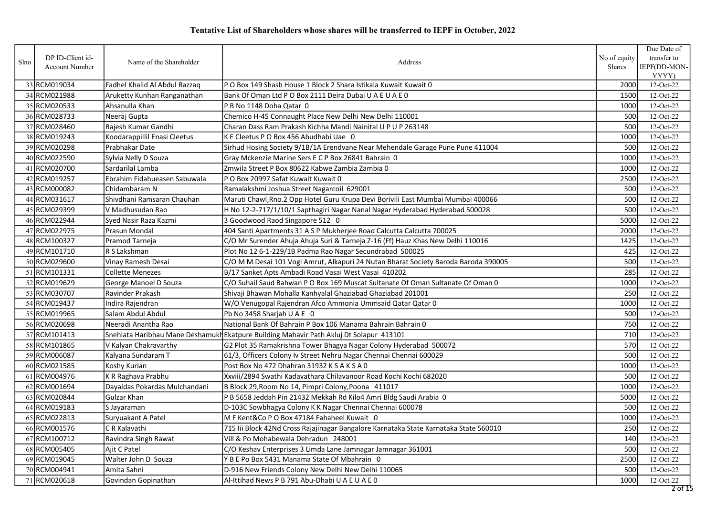|      |                       |                               |                                                                                         |               | Due Date of        |
|------|-----------------------|-------------------------------|-----------------------------------------------------------------------------------------|---------------|--------------------|
| Slno | DP ID-Client id-      | Name of the Shareholder       | Address                                                                                 | No of equity  | transfer to        |
|      | <b>Account Number</b> |                               |                                                                                         | <b>Shares</b> | IEPF(DD-MON-       |
|      | 33 RCM019034          | Fadhel Khalid Al Abdul Razzaq | P O Box 149 Shasb House 1 Block 2 Shara Istikala Kuwait Kuwait 0                        | 2000          | YYYY)<br>12-Oct-22 |
|      | 34 RCM021988          | Aruketty Kunhan Ranganathan   | Bank Of Oman Ltd P O Box 2111 Deira Dubai U A E U A E 0                                 | 1500          | 12-Oct-22          |
|      | 35 RCM020533          | Ahsanulla Khan                | P B No 1148 Doha Qatar 0                                                                | 1000          | 12-Oct-22          |
|      | 36 RCM028733          | Neeraj Gupta                  | Chemico H-45 Connaught Place New Delhi New Delhi 110001                                 | 500           | 12-Oct-22          |
|      | 37 RCM028460          | Rajesh Kumar Gandhi           | Charan Dass Ram Prakash Kichha Mandi Nainital U P U P 263148                            | 500           | 12-Oct-22          |
|      | 38 RCM019243          | Koodarappillil Enasi Cleetus  | K E Cleetus P O Box 456 Abudhabi Uae 0                                                  | 1000          | 12-Oct-22          |
|      | 39 RCM020298          | Prabhakar Date                | Sirhud Hosing Society 9/1B/1A Erendvane Near Mehendale Garage Pune Pune 411004          | 500           | 12-Oct-22          |
|      | 40 RCM022590          | Sylvia Nelly D Souza          | Gray Mckenzie Marine Sers E C P Box 26841 Bahrain 0                                     | 1000          | 12-Oct-22          |
|      | 41 RCM020700          | Sardarilal Lamba              | Zmwila Street P Box 80622 Kabwe Zambia Zambia 0                                         | 1000          | 12-Oct-22          |
|      | 42 RCM019257          | Ebrahim Fidahueasen Sabuwala  | P O Box 20997 Safat Kuwait Kuwait 0                                                     | 2500          | 12-Oct-22          |
|      | 43 RCM000082          | Chidambaram N                 | Ramalakshmi Joshua Street Nagarcoil 629001                                              | 500           | 12-Oct-22          |
|      | 44 RCM031617          | Shivdhani Ramsaran Chauhan    | Maruti Chawl, Rno.2 Opp Hotel Guru Krupa Devi Borivili East Mumbai Mumbai 400066        | 500           | 12-Oct-22          |
|      | 45 RCM029399          | V Madhusudan Rao              | H No 12-2-717/1/10/1 Sapthagiri Nagar Nanal Nagar Hyderabad Hyderabad 500028            | 500           | 12-Oct-22          |
|      | 46 RCM022944          | Syed Nasir Raza Kazmi         | 3 Goodwood Raod Singapore 512 0                                                         | 5000          | 12-Oct-22          |
|      | 47 RCM022975          | Prasun Mondal                 | 404 Santi Apartments 31 A S P Mukherjee Road Calcutta Calcutta 700025                   | 2000          | 12-Oct-22          |
|      | 48 RCM100327          | Pramod Tarneja                | C/O Mr Surender Ahuja Ahuja Suri & Tarneja Z-16 (Ff) Hauz Khas New Delhi 110016         | 1425          | 12-Oct-22          |
|      | 49 RCM101710          | R S Lakshman                  | Plot No 12 6-1-229/1B Padma Rao Nagar Secundrabad 500025                                | 425           | 12-Oct-22          |
|      | 50 RCM029600          | Vinay Ramesh Desai            | C/O M M Desai 101 Vogi Amrut, Alkapuri 24 Nutan Bharat Society Baroda Baroda 390005     | 500           | 12-Oct-22          |
|      | 51 RCM101331          | <b>Collette Menezes</b>       | B/17 Sanket Apts Ambadi Road Vasai West Vasai 410202                                    | 285           | 12-Oct-22          |
|      | 52 RCM019629          | George Manoel D Souza         | C/O Suhail Saud Bahwan P O Box 169 Muscat Sultanate Of Oman Sultanate Of Oman 0         | 1000          | 12-Oct-22          |
|      | 53 RCM030707          | Ravinder Prakash              | Shivaji Bhawan Mohalla Kanhyalal Ghaziabad Ghaziabad 201001                             | 250           | 12-Oct-22          |
|      | 54 RCM019437          | Indira Rajendran              | W/O Venugopal Rajendran Afco Ammonia Ummsaid Qatar Qatar 0                              | 1000          | 12-Oct-22          |
|      | 55 RCM019965          | Salam Abdul Abdul             | Pb No 3458 Sharjah U A E 0                                                              | 500           | 12-Oct-22          |
|      | 56 RCM020698          | Neeradi Anantha Rao           | National Bank Of Bahrain P Box 106 Manama Bahrain Bahrain 0                             | 750           | 12-Oct-22          |
|      | 57 RCM101413          |                               | Snehlata Haribhau Mane Deshamukh Ekatpure Building Mahavir Path Akluj Dt Solapur 413101 | 710           | 12-Oct-22          |
|      | 58 RCM101865          | V Kalyan Chakravarthy         | G2 Plot 35 Ramakrishna Tower Bhagya Nagar Colony Hyderabad 500072                       | 570           | 12-Oct-22          |
|      | 59 RCM006087          | Kalyana Sundaram T            | 61/3, Officers Colony Iv Street Nehru Nagar Chennai Chennai 600029                      | 500           | 12-Oct-22          |
|      | 60 RCM021585          | Koshy Kurian                  | Post Box No 472 Dhahran 31932 K S A K S A 0                                             | 1000          | 12-Oct-22          |
|      | 61 RCM004976          | K R Raghava Prabhu            | Xxviii/2894 Swathi Kadavathara Chilavanoor Road Kochi Kochi 682020                      | 500           | 12-Oct-22          |
|      | 62 RCM001694          | Dayaldas Pokardas Mulchandani | B Block 29, Room No 14, Pimpri Colony, Poona 411017                                     | 1000          | 12-Oct-22          |
|      | 63 RCM020844          | Gulzar Khan                   | P B 5658 Jeddah Pin 21432 Mekkah Rd Kilo4 Amri Bldg Saudi Arabia 0                      | 5000          | 12-Oct-22          |
|      | 64 RCM019183          | S Jayaraman                   | D-103C Sowbhagya Colony K K Nagar Chennai Chennai 600078                                | 500           | 12-Oct-22          |
|      | 65 RCM022813          | Suryuakant A Patel            | M F Kent&Co P O Box 47184 Fahaheel Kuwait 0                                             | 1000          | 12-Oct-22          |
|      | 66 RCM001576          | C R Kalavathi                 | 715 lii Block 42Nd Cross Rajajinagar Bangalore Karnataka State Karnataka State 560010   | 250           | 12-Oct-22          |
|      | 67 RCM100712          | Ravindra Singh Rawat          | Vill & Po Mohabewala Dehradun 248001                                                    | 140           | 12-Oct-22          |
|      | 68 RCM005405          | Ajit C Patel                  | C/O Keshav Enterprises 3 Limda Lane Jamnagar Jamnagar 361001                            | 500           | 12-Oct-22          |
|      | 69 RCM019045          | Walter John D Souza           | Y B E Po Box 5431 Manama State Of Mbahrain 0                                            | 2500          | 12-Oct-22          |
|      | 70 RCM004941          | Amita Sahni                   | D-916 New Friends Colony New Delhi New Delhi 110065                                     | 500           | 12-Oct-22          |
|      | 71 RCM020618          | Govindan Gopinathan           | Al-Ittihad News P B 791 Abu-Dhabi U A E U A E 0                                         | 1000          | 12-Oct-22          |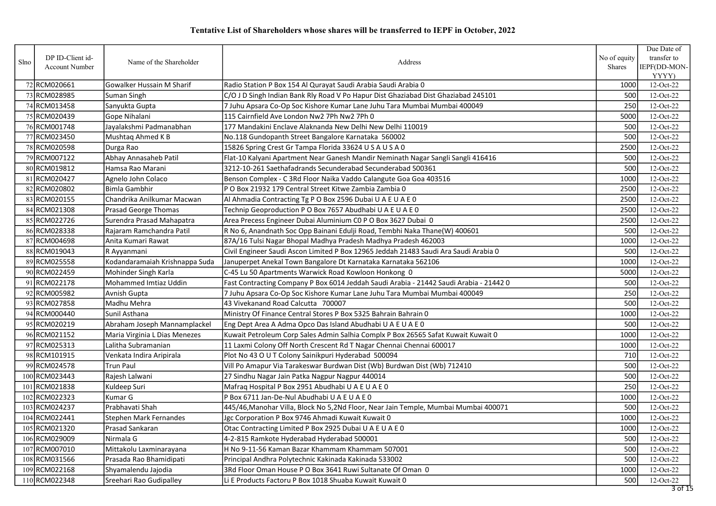|      |                       |                                |                                                                                        |               | Due Date of        |
|------|-----------------------|--------------------------------|----------------------------------------------------------------------------------------|---------------|--------------------|
| Slno | DP ID-Client id-      | Name of the Shareholder        | Address                                                                                | No of equity  | transfer to        |
|      | <b>Account Number</b> |                                |                                                                                        | <b>Shares</b> | IEPF(DD-MON-       |
|      | 72 RCM020661          | Gowalker Hussain M Sharif      | Radio Station P Box 154 Al Qurayat Saudi Arabia Saudi Arabia 0                         | 1000          | YYYY)<br>12-Oct-22 |
|      | 73 RCM028985          | Suman Singh                    | C/O J D Singh Indian Bank Rly Road V Po Hapur Dist Ghaziabad Dist Ghaziabad 245101     | 500           | 12-Oct-22          |
|      | 74 RCM013458          | Sanyukta Gupta                 | 7 Juhu Apsara Co-Op Soc Kishore Kumar Lane Juhu Tara Mumbai Mumbai 400049              | 250           | 12-Oct-22          |
|      | 75 RCM020439          | Gope Nihalani                  | 115 Cairnfield Ave London Nw2 7Ph Nw2 7Ph 0                                            | 5000          | 12-Oct-22          |
|      | 76 RCM001748          | Jayalakshmi Padmanabhan        | 177 Mandakini Enclave Alaknanda New Delhi New Delhi 110019                             | 500           | 12-Oct-22          |
|      | 77 RCM023450          | Mushtaq Ahmed K B              | No.118 Gundopanth Street Bangalore Karnataka 560002                                    | 500           | 12-Oct-22          |
|      | 78 RCM020598          | Durga Rao                      | 15826 Spring Crest Gr Tampa Florida 33624 U S A U S A 0                                | 2500          | 12-Oct-22          |
|      | 79 RCM007122          | Abhay Annasaheb Patil          | Flat-10 Kalyani Apartment Near Ganesh Mandir Neminath Nagar Sangli Sangli 416416       | 500           | 12-Oct-22          |
|      | 80 RCM019812          | Hamsa Rao Marani               | 3212-10-261 Saethafadrands Secunderabad Secunderabad 500361                            | 500           | 12-Oct-22          |
|      | 81 RCM020427          | Agnelo John Colaco             | Benson Complex - C 3Rd Floor Naika Vaddo Calangute Goa Goa 403516                      | 1000          | 12-Oct-22          |
|      | 82 RCM020802          | Bimla Gambhir                  | P O Box 21932 179 Central Street Kitwe Zambia Zambia 0                                 | 2500          | 12-Oct-22          |
|      | 83 RCM020155          | Chandrika Anilkumar Macwan     | Al Ahmadia Contracting Tg P O Box 2596 Dubai U A E U A E 0                             | 2500          | 12-Oct-22          |
|      | 84 RCM021308          | Prasad George Thomas           | Technip Geoproduction P O Box 7657 Abudhabi U A E U A E 0                              | 2500          | 12-Oct-22          |
|      | 85 RCM022726          | Surendra Prasad Mahapatra      | Area Precess Engineer Dubai Aluminium CO P O Box 3627 Dubai 0                          | 2500          | 12-Oct-22          |
|      | 86 RCM028338          | Rajaram Ramchandra Patil       | R No 6, Anandnath Soc Opp Bainani Edulji Road, Tembhi Naka Thane(W) 400601             | 500           | 12-Oct-22          |
|      | 87 RCM004698          | Anita Kumari Rawat             | 87A/16 Tulsi Nagar Bhopal Madhya Pradesh Madhya Pradesh 462003                         | 1000          | 12-Oct-22          |
|      | 88 RCM019043          | R Ayyanmani                    | Civil Engineer Saudi Ascon Limited P Box 12965 Jeddah 21483 Saudi Ara Saudi Arabia 0   | 500           | 12-Oct-22          |
|      | 89 RCM025558          | Kodandaramaiah Krishnappa Suda | Januperpet Anekal Town Bangalore Dt Karnataka Karnataka 562106                         | 1000          | 12-Oct-22          |
|      | 90 RCM022459          | Mohinder Singh Karla           | C-45 Lu 50 Apartments Warwick Road Kowloon Honkong 0                                   | 5000          | 12-Oct-22          |
|      | 91 RCM022178          | Mohammed Imtiaz Uddin          | Fast Contracting Company P Box 6014 Jeddah Saudi Arabia - 21442 Saudi Arabia - 21442 0 | 500           | 12-Oct-22          |
|      | 92 RCM005982          | Avnish Gupta                   | 7 Juhu Apsara Co-Op Soc Kishore Kumar Lane Juhu Tara Mumbai Mumbai 400049              | 250           | 12-Oct-22          |
|      | 93 RCM027858          | Madhu Mehra                    | 43 Vivekanand Road Calcutta 700007                                                     | 500           | 12-Oct-22          |
|      | 94 RCM000440          | Sunil Asthana                  | Ministry Of Finance Central Stores P Box 5325 Bahrain Bahrain 0                        | 1000          | 12-Oct-22          |
|      | 95 RCM020219          | Abraham Joseph Mannamplackel   | Eng Dept Area A Adma Opco Das Island Abudhabi U A E U A E 0                            | 500           | 12-Oct-22          |
|      | 96 RCM021152          | Maria Virginia L Dias Menezes  | Kuwait Petroleum Corp Sales Admin Salhia Complx P Box 26565 Safat Kuwait Kuwait 0      | 1000          | 12-Oct-22          |
|      | 97 RCM025313          | Lalitha Subramanian            | 11 Laxmi Colony Off North Crescent Rd T Nagar Chennai Chennai 600017                   | 1000          | 12-Oct-22          |
|      | 98 RCM101915          | Venkata Indira Aripirala       | Plot No 43 O U T Colony Sainikpuri Hyderabad 500094                                    | 710           | 12-Oct-22          |
|      | 99 RCM024578          | Trun Paul                      | Vill Po Amapur Via Tarakeswar Burdwan Dist (Wb) Burdwan Dist (Wb) 712410               | 500           | 12-Oct-22          |
|      | 100 RCM023443         | Rajesh Lalwani                 | 27 Sindhu Nagar Jain Patka Nagpur Nagpur 440014                                        | 500           | 12-Oct-22          |
|      | 101 RCM021838         | Kuldeep Suri                   | Mafrag Hospital P Box 2951 Abudhabi U A E U A E 0                                      | 250           | 12-Oct-22          |
|      | 102 RCM022323         | Kumar G                        | P Box 6711 Jan-De-Nul Abudhabi U A E U A E 0                                           | 1000          | 12-Oct-22          |
|      | 103 RCM024237         | Prabhavati Shah                | 445/46, Manohar Villa, Block No 5, 2Nd Floor, Near Jain Temple, Mumbai Mumbai 400071   | 500           | 12-Oct-22          |
|      | 104 RCM022441         | Stephen Mark Fernandes         | Jgc Corporation P Box 9746 Ahmadi Kuwait Kuwait 0                                      | 1000          | 12-Oct-22          |
|      | 105 RCM021320         | Prasad Sankaran                | Otac Contracting Limited P Box 2925 Dubai U A E U A E 0                                | 1000          | 12-Oct-22          |
|      | 106 RCM029009         | Nirmala G                      | 4-2-815 Ramkote Hyderabad Hyderabad 500001                                             | 500           | 12-Oct-22          |
|      | 107 RCM007010         | Mittakolu Laxminarayana        | H No 9-11-56 Kaman Bazar Khammam Khammam 507001                                        | 500           | 12-Oct-22          |
|      | 108 RCM031566         | Prasada Rao Bhamidipati        | Principal Andhra Polytechnic Kakinada Kakinada 533002                                  | 500           | 12-Oct-22          |
|      | 109 RCM022168         | Shyamalendu Jajodia            | 3Rd Floor Oman House P O Box 3641 Ruwi Sultanate Of Oman 0                             | 1000          | 12-Oct-22          |
|      | 110 RCM022348         | Sreehari Rao Gudipalley        | Li E Products Factoru P Box 1018 Shuaba Kuwait Kuwait 0                                | 500           | 12-Oct-22          |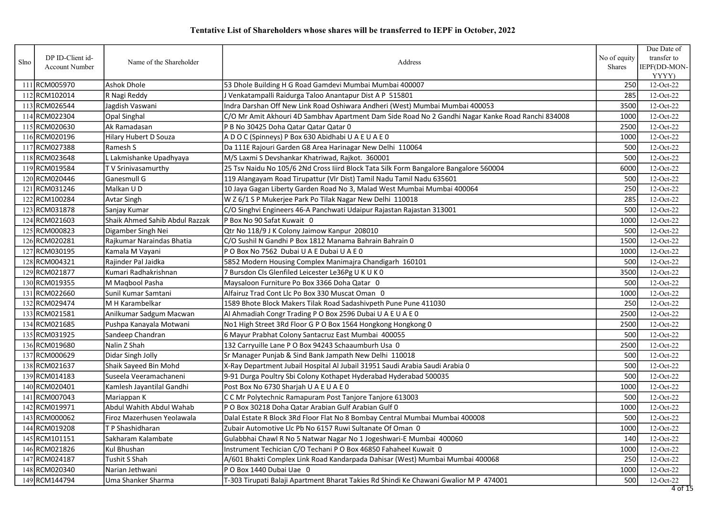|      |                       |                                |                                                                                                   |               | Due Date of           |
|------|-----------------------|--------------------------------|---------------------------------------------------------------------------------------------------|---------------|-----------------------|
| Slno | DP ID-Client id-      | Name of the Shareholder        | Address                                                                                           | No of equity  | transfer to           |
|      | <b>Account Number</b> |                                |                                                                                                   | <b>Shares</b> | IEPF(DD-MON-<br>YYYY) |
|      | 111 RCM005970         | Ashok Dhole                    | 53 Dhole Building H G Road Gamdevi Mumbai Mumbai 400007                                           | 250           | 12-Oct-22             |
|      | 112RCM102014          | R Nagi Reddy                   | J Venkatampalli Raidurga Taloo Anantapur Dist A P 515801                                          | 285           | 12-Oct-22             |
|      | 113 RCM026544         | Jagdish Vaswani                | Indra Darshan Off New Link Road Oshiwara Andheri (West) Mumbai Mumbai 400053                      | 3500          | 12-Oct-22             |
|      | 114 RCM022304         | Opal Singhal                   | C/O Mr Amit Akhouri 4D Sambhav Apartment Dam Side Road No 2 Gandhi Nagar Kanke Road Ranchi 834008 | 1000          | 12-Oct-22             |
|      | 115 RCM020630         | Ak Ramadasan                   | P B No 30425 Doha Qatar Qatar Qatar 0                                                             | 2500          | 12-Oct-22             |
|      | 116 RCM020196         | Hilary Hubert D Souza          | A D O C (Spinneys) P Box 630 Abidhabi U A E U A E 0                                               | 1000          | 12-Oct-22             |
|      | 117 RCM027388         | Ramesh S                       | Da 111E Rajouri Garden G8 Area Harinagar New Delhi 110064                                         | 500           | 12-Oct-22             |
|      | 118 RCM023648         | L Lakmishanke Upadhyaya        | M/S Laxmi S Devshankar Khatriwad, Rajkot. 360001                                                  | 500           | 12-Oct-22             |
|      | 119 RCM019584         | TV Srinivasamurthy             | 25 Tsv Naidu No 105/6 2Nd Cross liird Block Tata Silk Form Bangalore Bangalore 560004             | 6000          | 12-Oct-22             |
|      | 120 RCM020446         | Ganesmull G                    | 119 Alangayam Road Tirupattur (Vlr Dist) Tamil Nadu Tamil Nadu 635601                             | 500           | 12-Oct-22             |
|      | 121 RCM031246         | Malkan UD                      | 10 Jaya Gagan Liberty Garden Road No 3, Malad West Mumbai Mumbai 400064                           | 250           | 12-Oct-22             |
|      | 122 RCM100284         | Avtar Singh                    | W Z 6/1 S P Mukerjee Park Po Tilak Nagar New Delhi 110018                                         | 285           | 12-Oct-22             |
|      | 123 RCM031878         | Sanjay Kumar                   | C/O Singhvi Engineers 46-A Panchwati Udaipur Rajastan Rajastan 313001                             | 500           | 12-Oct-22             |
|      | 124 RCM021603         | Shaik Ahmed Sahib Abdul Razzak | P Box No 90 Safat Kuwait 0                                                                        | 1000          | 12-Oct-22             |
|      | 125 RCM000823         | Digamber Singh Nei             | Qtr No 118/9 J K Colony Jaimow Kanpur 208010                                                      | 500           | 12-Oct-22             |
|      | 126 RCM020281         | Raikumar Naraindas Bhatia      | C/O Sushil N Gandhi P Box 1812 Manama Bahrain Bahrain 0                                           | 1500          | 12-Oct-22             |
|      | 127 RCM030195         | Kamala M Vayani                | PO Box No 7562 Dubai U A E Dubai U A E 0                                                          | 1000          | 12-Oct-22             |
|      | 128 RCM004321         | Rajinder Pal Jaidka            | 5852 Modern Housing Complex Manimajra Chandigarh 160101                                           | 500           | 12-Oct-22             |
|      | 129 RCM021877         | Kumari Radhakrishnan           | 7 Bursdon Cls Glenfiled Leicester Le36Pg U K U K 0                                                | 3500          | 12-Oct-22             |
|      | 130 RCM019355         | M Magbool Pasha                | Maysaloon Furniture Po Box 3366 Doha Qatar 0                                                      | 500           | 12-Oct-22             |
|      | 131 RCM022660         | Sunil Kumar Samtani            | Alfairuz Trad Cont Llc Po Box 330 Muscat Oman 0                                                   | 1000          | 12-Oct-22             |
|      | 132 RCM029474         | M H Karambelkar                | 1589 Bhote Block Makers Tilak Road Sadashivpeth Pune Pune 411030                                  | 250           | 12-Oct-22             |
|      | 133 RCM021581         | Anilkumar Sadgum Macwan        | Al Ahmadiah Congr Trading P O Box 2596 Dubai U A E U A E 0                                        | 2500          | 12-Oct-22             |
|      | 134 RCM021685         | Pushpa Kanayala Motwani        | No1 High Street 3Rd Floor G P O Box 1564 Hongkong Hongkong 0                                      | 2500          | 12-Oct-22             |
|      | 135 RCM031925         | Sandeep Chandran               | 6 Mayur Prabhat Colony Santacruz East Mumbai 400055                                               | 500           | 12-Oct-22             |
|      | 136 RCM019680         | Nalin Z Shah                   | 132 Carryuille Lane P O Box 94243 Schaaumburh Usa 0                                               | 2500          | 12-Oct-22             |
|      | 137 RCM000629         | Didar Singh Jolly              | Sr Manager Punjab & Sind Bank Jampath New Delhi 110018                                            | 500           | 12-Oct-22             |
|      | 138 RCM021637         | Shaik Sayeed Bin Mohd          | X-Ray Department Jubail Hospital Al Jubail 31951 Saudi Arabia Saudi Arabia 0                      | 500           | 12-Oct-22             |
|      | 139 RCM014183         | Suseela Veeramachaneni         | 9-91 Durga Poultry Sbi Colony Kothapet Hyderabad Hyderabad 500035                                 | 500           | 12-Oct-22             |
|      | 140 RCM020401         | Kamlesh Jayantilal Gandhi      | Post Box No 6730 Sharjah U A E U A E 0                                                            | 1000          | 12-Oct-22             |
|      | 141 RCM007043         | Mariappan K                    | C C Mr Polytechnic Ramapuram Post Tanjore Tanjore 613003                                          | 500           | 12-Oct-22             |
|      | 142 RCM019971         | Abdul Wahith Abdul Wahab       | P O Box 30218 Doha Qatar Arabian Gulf Arabian Gulf 0                                              | 1000          | 12-Oct-22             |
|      | 143 RCM000062         | Firoz Mazerhusen Yeolawala     | Dalal Estate R Block 3Rd Floor Flat No 8 Bombay Central Mumbai Mumbai 400008                      | 500           | 12-Oct-22             |
|      | 144 RCM019208         | TP Shashidharan                | Zubair Automotive Llc Pb No 6157 Ruwi Sultanate Of Oman 0                                         | 1000          | 12-Oct-22             |
|      | 145 RCM101151         | Sakharam Kalambate             | Gulabbhai Chawl R No 5 Natwar Nagar No 1 Jogeshwari-E Mumbai 400060                               | 140           | 12-Oct-22             |
|      | 146 RCM021826         | Kul Bhushan                    | Instrument Techician C/O Techani P O Box 46850 Fahaheel Kuwait 0                                  | 1000          | 12-Oct-22             |
|      | 147 RCM024187         | Tushit S Shah                  | A/601 Bhakti Complex Link Road Kandarpada Dahisar (West) Mumbai Mumbai 400068                     | 250           | 12-Oct-22             |
|      | 148 RCM020340         | Narian Jethwani                | PO Box 1440 Dubai Uae 0                                                                           | 1000          | 12-Oct-22             |
|      | 149 RCM144794         | Uma Shanker Sharma             | T-303 Tirupati Balaji Apartment Bharat Takies Rd Shindi Ke Chawani Gwalior M P 474001             | 500           | 12-Oct-22             |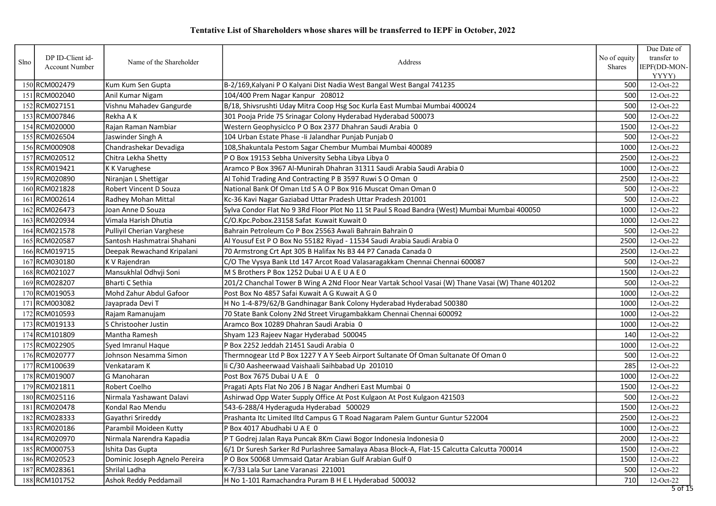| Slno<br>Name of the Shareholder<br>Address<br><b>Account Number</b><br>Shares<br>IEPF(DD-MON-<br>YYYY)<br>150RCM002479<br>Kum Kum Sen Gupta<br>B-2/169, Kalyani P O Kalyani Dist Nadia West Bangal West Bangal 741235<br>500<br>12-Oct-22<br>151 RCM002040<br>Anil Kumar Nigam<br>104/400 Prem Nagar Kanpur 208012<br>500<br>12-Oct-22<br>152 RCM027151<br>Vishnu Mahadev Gangurde<br>B/18, Shivsrushti Uday Mitra Coop Hsg Soc Kurla East Mumbai Mumbai 400024<br>500<br>12-Oct-22<br>500<br>153 RCM007846<br>Rekha A K<br>301 Pooja Pride 75 Srinagar Colony Hyderabad Hyderabad 500073<br>$12-Oct-22$<br>154 RCM020000<br>Rajan Raman Nambiar<br>Western Geophysiclco P O Box 2377 Dhahran Saudi Arabia 0<br>1500<br>$12-Oct-22$<br>155 RCM026504<br>Jaswinder Singh A<br>104 Urban Estate Phase - Ii Jalandhar Punjab Punjab 0<br>500<br>12-Oct-22<br>156 RCM000908<br>Chandrashekar Devadiga<br>108, Shakuntala Pestom Sagar Chembur Mumbai Mumbai 400089<br>1000<br>12-Oct-22<br>157 RCM020512<br>Chitra Lekha Shetty<br>P O Box 19153 Sebha University Sebha Libya Libya 0<br>2500<br>12-Oct-22<br>158 RCM019421<br>Aramco P Box 3967 Al-Munirah Dhahran 31311 Saudi Arabia Saudi Arabia 0<br>K K Varughese<br>1000<br>12-Oct-22<br>159 RCM020890<br>Niranjan L Shettigar<br>Al Tohid Trading And Contracting P B 3597 Ruwi S O Oman 0<br>2500<br>12-Oct-22<br>160 RCM021828<br>Robert Vincent D Souza<br>National Bank Of Oman Ltd S A O P Box 916 Muscat Oman Oman 0<br>500<br>12-Oct-22<br>161 RCM002614<br>Kc-36 Kavi Nagar Gaziabad Uttar Pradesh Uttar Pradesh 201001<br>Radhey Mohan Mittal<br>500<br>12-Oct-22<br>162 RCM026473<br>Sylva Condor Flat No 9 3Rd Floor Plot No 11 St Paul S Road Bandra (West) Mumbai Mumbai 400050<br>Joan Anne D Souza<br>1000<br>12-Oct-22<br>163 RCM020934<br>C/O.Kpc.Pobox.23158 Safat Kuwait Kuwait 0<br>Vimala Harish Dhutia<br>1000<br>12-Oct-22<br>Bahrain Petroleum Co P Box 25563 Awali Bahrain Bahrain 0<br>164 RCM021578<br>Pulliyil Cherian Varghese<br>500<br>12-Oct-22<br>Santosh Hashmatrai Shahani<br>165 RCM020587<br>Al Yousuf Est P O Box No 55182 Riyad - 11534 Saudi Arabia Saudi Arabia 0<br>2500<br>12-Oct-22<br>166 RCM019715<br>70 Armstrong Crt Apt 305 B Halifax Ns B3 44 P7 Canada Canada 0<br>2500<br>12-Oct-22<br>Deepak Rewachand Kripalani<br>167 RCM030180<br>C/O The Vysya Bank Ltd 147 Arcot Road Valasaragakkam Chennai Chennai 600087<br>K V Rajendran<br>500<br>12-Oct-22<br>168 RCM021027<br>M S Brothers P Box 1252 Dubai U A E U A E 0<br>Mansukhlal Odhvji Soni<br>1500<br>12-Oct-22<br>169 RCM028207<br>Bharti C Sethia<br>500<br>201/2 Chanchal Tower B Wing A 2Nd Floor Near Vartak School Vasai (W) Thane Vasai (W) Thane 401202<br>12-Oct-22<br>170 RCM019053<br>Mohd Zahur Abdul Gafoor<br>Post Box No 4857 Safai Kuwait A G Kuwait A G 0<br>1000<br>12-Oct-22<br>171 RCM003082<br>Jayaprada Devi T<br>H No 1-4-879/62/B Gandhinagar Bank Colony Hyderabad Hyderabad 500380<br>1000<br>12-Oct-22<br>172 RCM010593<br>70 State Bank Colony 2Nd Street Virugambakkam Chennai Chennai 600092<br>1000<br>Rajam Ramanujam<br>12-Oct-22<br>173 RCM019133<br>Aramco Box 10289 Dhahran Saudi Arabia 0<br>1000<br>S Christooher Justin<br>$12-Oct-22$<br>174 RCM101809<br>Mantha Ramesh<br>Shyam 123 Rajeev Nagar Hyderabad 500045<br>140<br>12-Oct-22<br>175 RCM022905<br>1000<br>Syed Imranul Haque<br>P Box 2252 Jeddah 21451 Saudi Arabia 0<br>12-Oct-22<br>176 RCM020777<br>Johnson Nesamma Simon<br>500<br>Thermnogear Ltd P Box 1227 Y A Y Seeb Airport Sultanate Of Oman Sultanate Of Oman 0<br>12-Oct-22<br>177 RCM100639<br>285<br>Venkataram K<br>li C/30 Aasheerwaad Vaishaali Saihbabad Up 201010<br>$12-Oct-22$<br>178 RCM019007<br>Post Box 7675 Dubai U A E 0<br>1000<br>G Manoharan<br>$12-Oct-22$<br>179 RCM021811<br>Robert Coelho<br>Pragati Apts Flat No 206 J B Nagar Andheri East Mumbai 0<br>1500<br>$12-Oct-22$<br>180 RCM025116<br>Nirmala Yashawant Dalavi<br>Ashirwad Opp Water Supply Office At Post Kulgaon At Post Kulgaon 421503<br>500<br>12-Oct-22<br>181 RCM020478<br>Kondal Rao Mendu<br>543-6-288/4 Hyderaguda Hyderabad 500029<br>1500<br>12-Oct-22<br>182 RCM028333<br>Prashanta Itc Limited IItd Campus G T Road Nagaram Palem Guntur Guntur 522004<br>2500<br>Gayathri Srireddy<br>12-Oct-22<br>183 RCM020186<br>Parambil Moideen Kutty<br>P Box 4017 Abudhabi U A E 0<br>12-Oct-22<br>1000<br>184 RCM020970<br>2000<br>Nirmala Narendra Kapadia<br>PT Godrej Jalan Raya Puncak 8Km Ciawi Bogor Indonesia Indonesia 0<br>12-Oct-22<br>185 RCM000753<br>6/1 Dr Suresh Sarker Rd Purlashree Samalaya Abasa Block-A, Flat-15 Calcutta Calcutta 700014<br>Ishita Das Gupta<br>1500<br>12-Oct-22<br>186 RCM020523<br>Dominic Joseph Agnelo Pereira<br>P O Box 50068 Ummsaid Qatar Arabian Gulf Arabian Gulf 0<br>1500<br>12-Oct-22<br>187 RCM028361<br>K-7/33 Lala Sur Lane Varanasi 221001<br>Shrilal Ladha<br>500<br>12-Oct-22<br>188 RCM101752<br>Ashok Reddy Peddamail<br>H No 1-101 Ramachandra Puram B H E L Hyderabad 500032<br>710<br>$12-Oct-22$<br>$5$ of 15 |                  |  |              | Due Date of |
|-------------------------------------------------------------------------------------------------------------------------------------------------------------------------------------------------------------------------------------------------------------------------------------------------------------------------------------------------------------------------------------------------------------------------------------------------------------------------------------------------------------------------------------------------------------------------------------------------------------------------------------------------------------------------------------------------------------------------------------------------------------------------------------------------------------------------------------------------------------------------------------------------------------------------------------------------------------------------------------------------------------------------------------------------------------------------------------------------------------------------------------------------------------------------------------------------------------------------------------------------------------------------------------------------------------------------------------------------------------------------------------------------------------------------------------------------------------------------------------------------------------------------------------------------------------------------------------------------------------------------------------------------------------------------------------------------------------------------------------------------------------------------------------------------------------------------------------------------------------------------------------------------------------------------------------------------------------------------------------------------------------------------------------------------------------------------------------------------------------------------------------------------------------------------------------------------------------------------------------------------------------------------------------------------------------------------------------------------------------------------------------------------------------------------------------------------------------------------------------------------------------------------------------------------------------------------------------------------------------------------------------------------------------------------------------------------------------------------------------------------------------------------------------------------------------------------------------------------------------------------------------------------------------------------------------------------------------------------------------------------------------------------------------------------------------------------------------------------------------------------------------------------------------------------------------------------------------------------------------------------------------------------------------------------------------------------------------------------------------------------------------------------------------------------------------------------------------------------------------------------------------------------------------------------------------------------------------------------------------------------------------------------------------------------------------------------------------------------------------------------------------------------------------------------------------------------------------------------------------------------------------------------------------------------------------------------------------------------------------------------------------------------------------------------------------------------------------------------------------------------------------------------------------------------------------------------------------------------------------------------------------------------------------------------------------------------------------------------------------------------------------------------------------------------------------------------------------------------------------------------------------------------------------------------------------------------------------------------------------------------------------------------------------------------------------------------------------------------------------------------------------------------------------------------------------------------------------------------------------------------------------------------------------------------------------------------------------------------------------------------------------------------------------------------------------------------------------------------|------------------|--|--------------|-------------|
|                                                                                                                                                                                                                                                                                                                                                                                                                                                                                                                                                                                                                                                                                                                                                                                                                                                                                                                                                                                                                                                                                                                                                                                                                                                                                                                                                                                                                                                                                                                                                                                                                                                                                                                                                                                                                                                                                                                                                                                                                                                                                                                                                                                                                                                                                                                                                                                                                                                                                                                                                                                                                                                                                                                                                                                                                                                                                                                                                                                                                                                                                                                                                                                                                                                                                                                                                                                                                                                                                                                                                                                                                                                                                                                                                                                                                                                                                                                                                                                                                                                                                                                                                                                                                                                                                                                                                                                                                                                                                                                                                                                                                                                                                                                                                                                                                                                                                                                                                                                                                                                                                                 | DP ID-Client id- |  | No of equity | transfer to |
|                                                                                                                                                                                                                                                                                                                                                                                                                                                                                                                                                                                                                                                                                                                                                                                                                                                                                                                                                                                                                                                                                                                                                                                                                                                                                                                                                                                                                                                                                                                                                                                                                                                                                                                                                                                                                                                                                                                                                                                                                                                                                                                                                                                                                                                                                                                                                                                                                                                                                                                                                                                                                                                                                                                                                                                                                                                                                                                                                                                                                                                                                                                                                                                                                                                                                                                                                                                                                                                                                                                                                                                                                                                                                                                                                                                                                                                                                                                                                                                                                                                                                                                                                                                                                                                                                                                                                                                                                                                                                                                                                                                                                                                                                                                                                                                                                                                                                                                                                                                                                                                                                                 |                  |  |              |             |
|                                                                                                                                                                                                                                                                                                                                                                                                                                                                                                                                                                                                                                                                                                                                                                                                                                                                                                                                                                                                                                                                                                                                                                                                                                                                                                                                                                                                                                                                                                                                                                                                                                                                                                                                                                                                                                                                                                                                                                                                                                                                                                                                                                                                                                                                                                                                                                                                                                                                                                                                                                                                                                                                                                                                                                                                                                                                                                                                                                                                                                                                                                                                                                                                                                                                                                                                                                                                                                                                                                                                                                                                                                                                                                                                                                                                                                                                                                                                                                                                                                                                                                                                                                                                                                                                                                                                                                                                                                                                                                                                                                                                                                                                                                                                                                                                                                                                                                                                                                                                                                                                                                 |                  |  |              |             |
|                                                                                                                                                                                                                                                                                                                                                                                                                                                                                                                                                                                                                                                                                                                                                                                                                                                                                                                                                                                                                                                                                                                                                                                                                                                                                                                                                                                                                                                                                                                                                                                                                                                                                                                                                                                                                                                                                                                                                                                                                                                                                                                                                                                                                                                                                                                                                                                                                                                                                                                                                                                                                                                                                                                                                                                                                                                                                                                                                                                                                                                                                                                                                                                                                                                                                                                                                                                                                                                                                                                                                                                                                                                                                                                                                                                                                                                                                                                                                                                                                                                                                                                                                                                                                                                                                                                                                                                                                                                                                                                                                                                                                                                                                                                                                                                                                                                                                                                                                                                                                                                                                                 |                  |  |              |             |
|                                                                                                                                                                                                                                                                                                                                                                                                                                                                                                                                                                                                                                                                                                                                                                                                                                                                                                                                                                                                                                                                                                                                                                                                                                                                                                                                                                                                                                                                                                                                                                                                                                                                                                                                                                                                                                                                                                                                                                                                                                                                                                                                                                                                                                                                                                                                                                                                                                                                                                                                                                                                                                                                                                                                                                                                                                                                                                                                                                                                                                                                                                                                                                                                                                                                                                                                                                                                                                                                                                                                                                                                                                                                                                                                                                                                                                                                                                                                                                                                                                                                                                                                                                                                                                                                                                                                                                                                                                                                                                                                                                                                                                                                                                                                                                                                                                                                                                                                                                                                                                                                                                 |                  |  |              |             |
|                                                                                                                                                                                                                                                                                                                                                                                                                                                                                                                                                                                                                                                                                                                                                                                                                                                                                                                                                                                                                                                                                                                                                                                                                                                                                                                                                                                                                                                                                                                                                                                                                                                                                                                                                                                                                                                                                                                                                                                                                                                                                                                                                                                                                                                                                                                                                                                                                                                                                                                                                                                                                                                                                                                                                                                                                                                                                                                                                                                                                                                                                                                                                                                                                                                                                                                                                                                                                                                                                                                                                                                                                                                                                                                                                                                                                                                                                                                                                                                                                                                                                                                                                                                                                                                                                                                                                                                                                                                                                                                                                                                                                                                                                                                                                                                                                                                                                                                                                                                                                                                                                                 |                  |  |              |             |
|                                                                                                                                                                                                                                                                                                                                                                                                                                                                                                                                                                                                                                                                                                                                                                                                                                                                                                                                                                                                                                                                                                                                                                                                                                                                                                                                                                                                                                                                                                                                                                                                                                                                                                                                                                                                                                                                                                                                                                                                                                                                                                                                                                                                                                                                                                                                                                                                                                                                                                                                                                                                                                                                                                                                                                                                                                                                                                                                                                                                                                                                                                                                                                                                                                                                                                                                                                                                                                                                                                                                                                                                                                                                                                                                                                                                                                                                                                                                                                                                                                                                                                                                                                                                                                                                                                                                                                                                                                                                                                                                                                                                                                                                                                                                                                                                                                                                                                                                                                                                                                                                                                 |                  |  |              |             |
|                                                                                                                                                                                                                                                                                                                                                                                                                                                                                                                                                                                                                                                                                                                                                                                                                                                                                                                                                                                                                                                                                                                                                                                                                                                                                                                                                                                                                                                                                                                                                                                                                                                                                                                                                                                                                                                                                                                                                                                                                                                                                                                                                                                                                                                                                                                                                                                                                                                                                                                                                                                                                                                                                                                                                                                                                                                                                                                                                                                                                                                                                                                                                                                                                                                                                                                                                                                                                                                                                                                                                                                                                                                                                                                                                                                                                                                                                                                                                                                                                                                                                                                                                                                                                                                                                                                                                                                                                                                                                                                                                                                                                                                                                                                                                                                                                                                                                                                                                                                                                                                                                                 |                  |  |              |             |
|                                                                                                                                                                                                                                                                                                                                                                                                                                                                                                                                                                                                                                                                                                                                                                                                                                                                                                                                                                                                                                                                                                                                                                                                                                                                                                                                                                                                                                                                                                                                                                                                                                                                                                                                                                                                                                                                                                                                                                                                                                                                                                                                                                                                                                                                                                                                                                                                                                                                                                                                                                                                                                                                                                                                                                                                                                                                                                                                                                                                                                                                                                                                                                                                                                                                                                                                                                                                                                                                                                                                                                                                                                                                                                                                                                                                                                                                                                                                                                                                                                                                                                                                                                                                                                                                                                                                                                                                                                                                                                                                                                                                                                                                                                                                                                                                                                                                                                                                                                                                                                                                                                 |                  |  |              |             |
|                                                                                                                                                                                                                                                                                                                                                                                                                                                                                                                                                                                                                                                                                                                                                                                                                                                                                                                                                                                                                                                                                                                                                                                                                                                                                                                                                                                                                                                                                                                                                                                                                                                                                                                                                                                                                                                                                                                                                                                                                                                                                                                                                                                                                                                                                                                                                                                                                                                                                                                                                                                                                                                                                                                                                                                                                                                                                                                                                                                                                                                                                                                                                                                                                                                                                                                                                                                                                                                                                                                                                                                                                                                                                                                                                                                                                                                                                                                                                                                                                                                                                                                                                                                                                                                                                                                                                                                                                                                                                                                                                                                                                                                                                                                                                                                                                                                                                                                                                                                                                                                                                                 |                  |  |              |             |
|                                                                                                                                                                                                                                                                                                                                                                                                                                                                                                                                                                                                                                                                                                                                                                                                                                                                                                                                                                                                                                                                                                                                                                                                                                                                                                                                                                                                                                                                                                                                                                                                                                                                                                                                                                                                                                                                                                                                                                                                                                                                                                                                                                                                                                                                                                                                                                                                                                                                                                                                                                                                                                                                                                                                                                                                                                                                                                                                                                                                                                                                                                                                                                                                                                                                                                                                                                                                                                                                                                                                                                                                                                                                                                                                                                                                                                                                                                                                                                                                                                                                                                                                                                                                                                                                                                                                                                                                                                                                                                                                                                                                                                                                                                                                                                                                                                                                                                                                                                                                                                                                                                 |                  |  |              |             |
|                                                                                                                                                                                                                                                                                                                                                                                                                                                                                                                                                                                                                                                                                                                                                                                                                                                                                                                                                                                                                                                                                                                                                                                                                                                                                                                                                                                                                                                                                                                                                                                                                                                                                                                                                                                                                                                                                                                                                                                                                                                                                                                                                                                                                                                                                                                                                                                                                                                                                                                                                                                                                                                                                                                                                                                                                                                                                                                                                                                                                                                                                                                                                                                                                                                                                                                                                                                                                                                                                                                                                                                                                                                                                                                                                                                                                                                                                                                                                                                                                                                                                                                                                                                                                                                                                                                                                                                                                                                                                                                                                                                                                                                                                                                                                                                                                                                                                                                                                                                                                                                                                                 |                  |  |              |             |
|                                                                                                                                                                                                                                                                                                                                                                                                                                                                                                                                                                                                                                                                                                                                                                                                                                                                                                                                                                                                                                                                                                                                                                                                                                                                                                                                                                                                                                                                                                                                                                                                                                                                                                                                                                                                                                                                                                                                                                                                                                                                                                                                                                                                                                                                                                                                                                                                                                                                                                                                                                                                                                                                                                                                                                                                                                                                                                                                                                                                                                                                                                                                                                                                                                                                                                                                                                                                                                                                                                                                                                                                                                                                                                                                                                                                                                                                                                                                                                                                                                                                                                                                                                                                                                                                                                                                                                                                                                                                                                                                                                                                                                                                                                                                                                                                                                                                                                                                                                                                                                                                                                 |                  |  |              |             |
|                                                                                                                                                                                                                                                                                                                                                                                                                                                                                                                                                                                                                                                                                                                                                                                                                                                                                                                                                                                                                                                                                                                                                                                                                                                                                                                                                                                                                                                                                                                                                                                                                                                                                                                                                                                                                                                                                                                                                                                                                                                                                                                                                                                                                                                                                                                                                                                                                                                                                                                                                                                                                                                                                                                                                                                                                                                                                                                                                                                                                                                                                                                                                                                                                                                                                                                                                                                                                                                                                                                                                                                                                                                                                                                                                                                                                                                                                                                                                                                                                                                                                                                                                                                                                                                                                                                                                                                                                                                                                                                                                                                                                                                                                                                                                                                                                                                                                                                                                                                                                                                                                                 |                  |  |              |             |
|                                                                                                                                                                                                                                                                                                                                                                                                                                                                                                                                                                                                                                                                                                                                                                                                                                                                                                                                                                                                                                                                                                                                                                                                                                                                                                                                                                                                                                                                                                                                                                                                                                                                                                                                                                                                                                                                                                                                                                                                                                                                                                                                                                                                                                                                                                                                                                                                                                                                                                                                                                                                                                                                                                                                                                                                                                                                                                                                                                                                                                                                                                                                                                                                                                                                                                                                                                                                                                                                                                                                                                                                                                                                                                                                                                                                                                                                                                                                                                                                                                                                                                                                                                                                                                                                                                                                                                                                                                                                                                                                                                                                                                                                                                                                                                                                                                                                                                                                                                                                                                                                                                 |                  |  |              |             |
|                                                                                                                                                                                                                                                                                                                                                                                                                                                                                                                                                                                                                                                                                                                                                                                                                                                                                                                                                                                                                                                                                                                                                                                                                                                                                                                                                                                                                                                                                                                                                                                                                                                                                                                                                                                                                                                                                                                                                                                                                                                                                                                                                                                                                                                                                                                                                                                                                                                                                                                                                                                                                                                                                                                                                                                                                                                                                                                                                                                                                                                                                                                                                                                                                                                                                                                                                                                                                                                                                                                                                                                                                                                                                                                                                                                                                                                                                                                                                                                                                                                                                                                                                                                                                                                                                                                                                                                                                                                                                                                                                                                                                                                                                                                                                                                                                                                                                                                                                                                                                                                                                                 |                  |  |              |             |
|                                                                                                                                                                                                                                                                                                                                                                                                                                                                                                                                                                                                                                                                                                                                                                                                                                                                                                                                                                                                                                                                                                                                                                                                                                                                                                                                                                                                                                                                                                                                                                                                                                                                                                                                                                                                                                                                                                                                                                                                                                                                                                                                                                                                                                                                                                                                                                                                                                                                                                                                                                                                                                                                                                                                                                                                                                                                                                                                                                                                                                                                                                                                                                                                                                                                                                                                                                                                                                                                                                                                                                                                                                                                                                                                                                                                                                                                                                                                                                                                                                                                                                                                                                                                                                                                                                                                                                                                                                                                                                                                                                                                                                                                                                                                                                                                                                                                                                                                                                                                                                                                                                 |                  |  |              |             |
|                                                                                                                                                                                                                                                                                                                                                                                                                                                                                                                                                                                                                                                                                                                                                                                                                                                                                                                                                                                                                                                                                                                                                                                                                                                                                                                                                                                                                                                                                                                                                                                                                                                                                                                                                                                                                                                                                                                                                                                                                                                                                                                                                                                                                                                                                                                                                                                                                                                                                                                                                                                                                                                                                                                                                                                                                                                                                                                                                                                                                                                                                                                                                                                                                                                                                                                                                                                                                                                                                                                                                                                                                                                                                                                                                                                                                                                                                                                                                                                                                                                                                                                                                                                                                                                                                                                                                                                                                                                                                                                                                                                                                                                                                                                                                                                                                                                                                                                                                                                                                                                                                                 |                  |  |              |             |
|                                                                                                                                                                                                                                                                                                                                                                                                                                                                                                                                                                                                                                                                                                                                                                                                                                                                                                                                                                                                                                                                                                                                                                                                                                                                                                                                                                                                                                                                                                                                                                                                                                                                                                                                                                                                                                                                                                                                                                                                                                                                                                                                                                                                                                                                                                                                                                                                                                                                                                                                                                                                                                                                                                                                                                                                                                                                                                                                                                                                                                                                                                                                                                                                                                                                                                                                                                                                                                                                                                                                                                                                                                                                                                                                                                                                                                                                                                                                                                                                                                                                                                                                                                                                                                                                                                                                                                                                                                                                                                                                                                                                                                                                                                                                                                                                                                                                                                                                                                                                                                                                                                 |                  |  |              |             |
|                                                                                                                                                                                                                                                                                                                                                                                                                                                                                                                                                                                                                                                                                                                                                                                                                                                                                                                                                                                                                                                                                                                                                                                                                                                                                                                                                                                                                                                                                                                                                                                                                                                                                                                                                                                                                                                                                                                                                                                                                                                                                                                                                                                                                                                                                                                                                                                                                                                                                                                                                                                                                                                                                                                                                                                                                                                                                                                                                                                                                                                                                                                                                                                                                                                                                                                                                                                                                                                                                                                                                                                                                                                                                                                                                                                                                                                                                                                                                                                                                                                                                                                                                                                                                                                                                                                                                                                                                                                                                                                                                                                                                                                                                                                                                                                                                                                                                                                                                                                                                                                                                                 |                  |  |              |             |
|                                                                                                                                                                                                                                                                                                                                                                                                                                                                                                                                                                                                                                                                                                                                                                                                                                                                                                                                                                                                                                                                                                                                                                                                                                                                                                                                                                                                                                                                                                                                                                                                                                                                                                                                                                                                                                                                                                                                                                                                                                                                                                                                                                                                                                                                                                                                                                                                                                                                                                                                                                                                                                                                                                                                                                                                                                                                                                                                                                                                                                                                                                                                                                                                                                                                                                                                                                                                                                                                                                                                                                                                                                                                                                                                                                                                                                                                                                                                                                                                                                                                                                                                                                                                                                                                                                                                                                                                                                                                                                                                                                                                                                                                                                                                                                                                                                                                                                                                                                                                                                                                                                 |                  |  |              |             |
|                                                                                                                                                                                                                                                                                                                                                                                                                                                                                                                                                                                                                                                                                                                                                                                                                                                                                                                                                                                                                                                                                                                                                                                                                                                                                                                                                                                                                                                                                                                                                                                                                                                                                                                                                                                                                                                                                                                                                                                                                                                                                                                                                                                                                                                                                                                                                                                                                                                                                                                                                                                                                                                                                                                                                                                                                                                                                                                                                                                                                                                                                                                                                                                                                                                                                                                                                                                                                                                                                                                                                                                                                                                                                                                                                                                                                                                                                                                                                                                                                                                                                                                                                                                                                                                                                                                                                                                                                                                                                                                                                                                                                                                                                                                                                                                                                                                                                                                                                                                                                                                                                                 |                  |  |              |             |
|                                                                                                                                                                                                                                                                                                                                                                                                                                                                                                                                                                                                                                                                                                                                                                                                                                                                                                                                                                                                                                                                                                                                                                                                                                                                                                                                                                                                                                                                                                                                                                                                                                                                                                                                                                                                                                                                                                                                                                                                                                                                                                                                                                                                                                                                                                                                                                                                                                                                                                                                                                                                                                                                                                                                                                                                                                                                                                                                                                                                                                                                                                                                                                                                                                                                                                                                                                                                                                                                                                                                                                                                                                                                                                                                                                                                                                                                                                                                                                                                                                                                                                                                                                                                                                                                                                                                                                                                                                                                                                                                                                                                                                                                                                                                                                                                                                                                                                                                                                                                                                                                                                 |                  |  |              |             |
|                                                                                                                                                                                                                                                                                                                                                                                                                                                                                                                                                                                                                                                                                                                                                                                                                                                                                                                                                                                                                                                                                                                                                                                                                                                                                                                                                                                                                                                                                                                                                                                                                                                                                                                                                                                                                                                                                                                                                                                                                                                                                                                                                                                                                                                                                                                                                                                                                                                                                                                                                                                                                                                                                                                                                                                                                                                                                                                                                                                                                                                                                                                                                                                                                                                                                                                                                                                                                                                                                                                                                                                                                                                                                                                                                                                                                                                                                                                                                                                                                                                                                                                                                                                                                                                                                                                                                                                                                                                                                                                                                                                                                                                                                                                                                                                                                                                                                                                                                                                                                                                                                                 |                  |  |              |             |
|                                                                                                                                                                                                                                                                                                                                                                                                                                                                                                                                                                                                                                                                                                                                                                                                                                                                                                                                                                                                                                                                                                                                                                                                                                                                                                                                                                                                                                                                                                                                                                                                                                                                                                                                                                                                                                                                                                                                                                                                                                                                                                                                                                                                                                                                                                                                                                                                                                                                                                                                                                                                                                                                                                                                                                                                                                                                                                                                                                                                                                                                                                                                                                                                                                                                                                                                                                                                                                                                                                                                                                                                                                                                                                                                                                                                                                                                                                                                                                                                                                                                                                                                                                                                                                                                                                                                                                                                                                                                                                                                                                                                                                                                                                                                                                                                                                                                                                                                                                                                                                                                                                 |                  |  |              |             |
|                                                                                                                                                                                                                                                                                                                                                                                                                                                                                                                                                                                                                                                                                                                                                                                                                                                                                                                                                                                                                                                                                                                                                                                                                                                                                                                                                                                                                                                                                                                                                                                                                                                                                                                                                                                                                                                                                                                                                                                                                                                                                                                                                                                                                                                                                                                                                                                                                                                                                                                                                                                                                                                                                                                                                                                                                                                                                                                                                                                                                                                                                                                                                                                                                                                                                                                                                                                                                                                                                                                                                                                                                                                                                                                                                                                                                                                                                                                                                                                                                                                                                                                                                                                                                                                                                                                                                                                                                                                                                                                                                                                                                                                                                                                                                                                                                                                                                                                                                                                                                                                                                                 |                  |  |              |             |
|                                                                                                                                                                                                                                                                                                                                                                                                                                                                                                                                                                                                                                                                                                                                                                                                                                                                                                                                                                                                                                                                                                                                                                                                                                                                                                                                                                                                                                                                                                                                                                                                                                                                                                                                                                                                                                                                                                                                                                                                                                                                                                                                                                                                                                                                                                                                                                                                                                                                                                                                                                                                                                                                                                                                                                                                                                                                                                                                                                                                                                                                                                                                                                                                                                                                                                                                                                                                                                                                                                                                                                                                                                                                                                                                                                                                                                                                                                                                                                                                                                                                                                                                                                                                                                                                                                                                                                                                                                                                                                                                                                                                                                                                                                                                                                                                                                                                                                                                                                                                                                                                                                 |                  |  |              |             |
|                                                                                                                                                                                                                                                                                                                                                                                                                                                                                                                                                                                                                                                                                                                                                                                                                                                                                                                                                                                                                                                                                                                                                                                                                                                                                                                                                                                                                                                                                                                                                                                                                                                                                                                                                                                                                                                                                                                                                                                                                                                                                                                                                                                                                                                                                                                                                                                                                                                                                                                                                                                                                                                                                                                                                                                                                                                                                                                                                                                                                                                                                                                                                                                                                                                                                                                                                                                                                                                                                                                                                                                                                                                                                                                                                                                                                                                                                                                                                                                                                                                                                                                                                                                                                                                                                                                                                                                                                                                                                                                                                                                                                                                                                                                                                                                                                                                                                                                                                                                                                                                                                                 |                  |  |              |             |
|                                                                                                                                                                                                                                                                                                                                                                                                                                                                                                                                                                                                                                                                                                                                                                                                                                                                                                                                                                                                                                                                                                                                                                                                                                                                                                                                                                                                                                                                                                                                                                                                                                                                                                                                                                                                                                                                                                                                                                                                                                                                                                                                                                                                                                                                                                                                                                                                                                                                                                                                                                                                                                                                                                                                                                                                                                                                                                                                                                                                                                                                                                                                                                                                                                                                                                                                                                                                                                                                                                                                                                                                                                                                                                                                                                                                                                                                                                                                                                                                                                                                                                                                                                                                                                                                                                                                                                                                                                                                                                                                                                                                                                                                                                                                                                                                                                                                                                                                                                                                                                                                                                 |                  |  |              |             |
|                                                                                                                                                                                                                                                                                                                                                                                                                                                                                                                                                                                                                                                                                                                                                                                                                                                                                                                                                                                                                                                                                                                                                                                                                                                                                                                                                                                                                                                                                                                                                                                                                                                                                                                                                                                                                                                                                                                                                                                                                                                                                                                                                                                                                                                                                                                                                                                                                                                                                                                                                                                                                                                                                                                                                                                                                                                                                                                                                                                                                                                                                                                                                                                                                                                                                                                                                                                                                                                                                                                                                                                                                                                                                                                                                                                                                                                                                                                                                                                                                                                                                                                                                                                                                                                                                                                                                                                                                                                                                                                                                                                                                                                                                                                                                                                                                                                                                                                                                                                                                                                                                                 |                  |  |              |             |
|                                                                                                                                                                                                                                                                                                                                                                                                                                                                                                                                                                                                                                                                                                                                                                                                                                                                                                                                                                                                                                                                                                                                                                                                                                                                                                                                                                                                                                                                                                                                                                                                                                                                                                                                                                                                                                                                                                                                                                                                                                                                                                                                                                                                                                                                                                                                                                                                                                                                                                                                                                                                                                                                                                                                                                                                                                                                                                                                                                                                                                                                                                                                                                                                                                                                                                                                                                                                                                                                                                                                                                                                                                                                                                                                                                                                                                                                                                                                                                                                                                                                                                                                                                                                                                                                                                                                                                                                                                                                                                                                                                                                                                                                                                                                                                                                                                                                                                                                                                                                                                                                                                 |                  |  |              |             |
|                                                                                                                                                                                                                                                                                                                                                                                                                                                                                                                                                                                                                                                                                                                                                                                                                                                                                                                                                                                                                                                                                                                                                                                                                                                                                                                                                                                                                                                                                                                                                                                                                                                                                                                                                                                                                                                                                                                                                                                                                                                                                                                                                                                                                                                                                                                                                                                                                                                                                                                                                                                                                                                                                                                                                                                                                                                                                                                                                                                                                                                                                                                                                                                                                                                                                                                                                                                                                                                                                                                                                                                                                                                                                                                                                                                                                                                                                                                                                                                                                                                                                                                                                                                                                                                                                                                                                                                                                                                                                                                                                                                                                                                                                                                                                                                                                                                                                                                                                                                                                                                                                                 |                  |  |              |             |
|                                                                                                                                                                                                                                                                                                                                                                                                                                                                                                                                                                                                                                                                                                                                                                                                                                                                                                                                                                                                                                                                                                                                                                                                                                                                                                                                                                                                                                                                                                                                                                                                                                                                                                                                                                                                                                                                                                                                                                                                                                                                                                                                                                                                                                                                                                                                                                                                                                                                                                                                                                                                                                                                                                                                                                                                                                                                                                                                                                                                                                                                                                                                                                                                                                                                                                                                                                                                                                                                                                                                                                                                                                                                                                                                                                                                                                                                                                                                                                                                                                                                                                                                                                                                                                                                                                                                                                                                                                                                                                                                                                                                                                                                                                                                                                                                                                                                                                                                                                                                                                                                                                 |                  |  |              |             |
|                                                                                                                                                                                                                                                                                                                                                                                                                                                                                                                                                                                                                                                                                                                                                                                                                                                                                                                                                                                                                                                                                                                                                                                                                                                                                                                                                                                                                                                                                                                                                                                                                                                                                                                                                                                                                                                                                                                                                                                                                                                                                                                                                                                                                                                                                                                                                                                                                                                                                                                                                                                                                                                                                                                                                                                                                                                                                                                                                                                                                                                                                                                                                                                                                                                                                                                                                                                                                                                                                                                                                                                                                                                                                                                                                                                                                                                                                                                                                                                                                                                                                                                                                                                                                                                                                                                                                                                                                                                                                                                                                                                                                                                                                                                                                                                                                                                                                                                                                                                                                                                                                                 |                  |  |              |             |
|                                                                                                                                                                                                                                                                                                                                                                                                                                                                                                                                                                                                                                                                                                                                                                                                                                                                                                                                                                                                                                                                                                                                                                                                                                                                                                                                                                                                                                                                                                                                                                                                                                                                                                                                                                                                                                                                                                                                                                                                                                                                                                                                                                                                                                                                                                                                                                                                                                                                                                                                                                                                                                                                                                                                                                                                                                                                                                                                                                                                                                                                                                                                                                                                                                                                                                                                                                                                                                                                                                                                                                                                                                                                                                                                                                                                                                                                                                                                                                                                                                                                                                                                                                                                                                                                                                                                                                                                                                                                                                                                                                                                                                                                                                                                                                                                                                                                                                                                                                                                                                                                                                 |                  |  |              |             |
|                                                                                                                                                                                                                                                                                                                                                                                                                                                                                                                                                                                                                                                                                                                                                                                                                                                                                                                                                                                                                                                                                                                                                                                                                                                                                                                                                                                                                                                                                                                                                                                                                                                                                                                                                                                                                                                                                                                                                                                                                                                                                                                                                                                                                                                                                                                                                                                                                                                                                                                                                                                                                                                                                                                                                                                                                                                                                                                                                                                                                                                                                                                                                                                                                                                                                                                                                                                                                                                                                                                                                                                                                                                                                                                                                                                                                                                                                                                                                                                                                                                                                                                                                                                                                                                                                                                                                                                                                                                                                                                                                                                                                                                                                                                                                                                                                                                                                                                                                                                                                                                                                                 |                  |  |              |             |
|                                                                                                                                                                                                                                                                                                                                                                                                                                                                                                                                                                                                                                                                                                                                                                                                                                                                                                                                                                                                                                                                                                                                                                                                                                                                                                                                                                                                                                                                                                                                                                                                                                                                                                                                                                                                                                                                                                                                                                                                                                                                                                                                                                                                                                                                                                                                                                                                                                                                                                                                                                                                                                                                                                                                                                                                                                                                                                                                                                                                                                                                                                                                                                                                                                                                                                                                                                                                                                                                                                                                                                                                                                                                                                                                                                                                                                                                                                                                                                                                                                                                                                                                                                                                                                                                                                                                                                                                                                                                                                                                                                                                                                                                                                                                                                                                                                                                                                                                                                                                                                                                                                 |                  |  |              |             |
|                                                                                                                                                                                                                                                                                                                                                                                                                                                                                                                                                                                                                                                                                                                                                                                                                                                                                                                                                                                                                                                                                                                                                                                                                                                                                                                                                                                                                                                                                                                                                                                                                                                                                                                                                                                                                                                                                                                                                                                                                                                                                                                                                                                                                                                                                                                                                                                                                                                                                                                                                                                                                                                                                                                                                                                                                                                                                                                                                                                                                                                                                                                                                                                                                                                                                                                                                                                                                                                                                                                                                                                                                                                                                                                                                                                                                                                                                                                                                                                                                                                                                                                                                                                                                                                                                                                                                                                                                                                                                                                                                                                                                                                                                                                                                                                                                                                                                                                                                                                                                                                                                                 |                  |  |              |             |
|                                                                                                                                                                                                                                                                                                                                                                                                                                                                                                                                                                                                                                                                                                                                                                                                                                                                                                                                                                                                                                                                                                                                                                                                                                                                                                                                                                                                                                                                                                                                                                                                                                                                                                                                                                                                                                                                                                                                                                                                                                                                                                                                                                                                                                                                                                                                                                                                                                                                                                                                                                                                                                                                                                                                                                                                                                                                                                                                                                                                                                                                                                                                                                                                                                                                                                                                                                                                                                                                                                                                                                                                                                                                                                                                                                                                                                                                                                                                                                                                                                                                                                                                                                                                                                                                                                                                                                                                                                                                                                                                                                                                                                                                                                                                                                                                                                                                                                                                                                                                                                                                                                 |                  |  |              |             |
|                                                                                                                                                                                                                                                                                                                                                                                                                                                                                                                                                                                                                                                                                                                                                                                                                                                                                                                                                                                                                                                                                                                                                                                                                                                                                                                                                                                                                                                                                                                                                                                                                                                                                                                                                                                                                                                                                                                                                                                                                                                                                                                                                                                                                                                                                                                                                                                                                                                                                                                                                                                                                                                                                                                                                                                                                                                                                                                                                                                                                                                                                                                                                                                                                                                                                                                                                                                                                                                                                                                                                                                                                                                                                                                                                                                                                                                                                                                                                                                                                                                                                                                                                                                                                                                                                                                                                                                                                                                                                                                                                                                                                                                                                                                                                                                                                                                                                                                                                                                                                                                                                                 |                  |  |              |             |
|                                                                                                                                                                                                                                                                                                                                                                                                                                                                                                                                                                                                                                                                                                                                                                                                                                                                                                                                                                                                                                                                                                                                                                                                                                                                                                                                                                                                                                                                                                                                                                                                                                                                                                                                                                                                                                                                                                                                                                                                                                                                                                                                                                                                                                                                                                                                                                                                                                                                                                                                                                                                                                                                                                                                                                                                                                                                                                                                                                                                                                                                                                                                                                                                                                                                                                                                                                                                                                                                                                                                                                                                                                                                                                                                                                                                                                                                                                                                                                                                                                                                                                                                                                                                                                                                                                                                                                                                                                                                                                                                                                                                                                                                                                                                                                                                                                                                                                                                                                                                                                                                                                 |                  |  |              |             |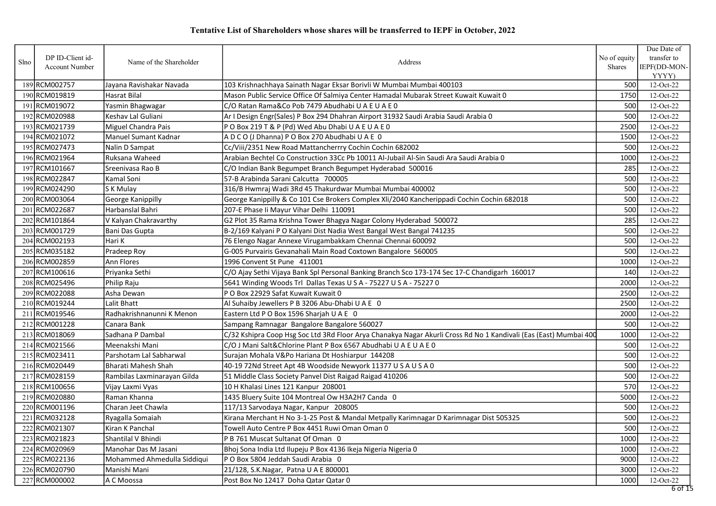|      |                       |                             |                                                                                                                   |               | Due Date of        |
|------|-----------------------|-----------------------------|-------------------------------------------------------------------------------------------------------------------|---------------|--------------------|
| Slno | DP ID-Client id-      | Name of the Shareholder     | Address                                                                                                           | No of equity  | transfer to        |
|      | <b>Account Number</b> |                             |                                                                                                                   | <b>Shares</b> | IEPF(DD-MON-       |
|      | 189 RCM002757         | Jayana Ravishakar Navada    | 103 Krishnachhaya Sainath Nagar Eksar Borivli W Mumbai Mumbai 400103                                              | 500           | YYYY)<br>12-Oct-22 |
|      | 190RCM019819          | <b>Hasrat Bilal</b>         | Mason Public Service Office Of Salmiya Center Hamadal Mubarak Street Kuwait Kuwait 0                              | 1750          | 12-Oct-22          |
|      | 191 RCM019072         | Yasmin Bhagwagar            | C/O Ratan Rama&Co Pob 7479 Abudhabi U A E U A E 0                                                                 | 500           | 12-Oct-22          |
|      | 192 RCM020988         | Keshav Lal Guliani          | Ar I Design Engr(Sales) P Box 294 Dhahran Airport 31932 Saudi Arabia Saudi Arabia 0                               | 500           | 12-Oct-22          |
|      | 193 RCM021739         | Miguel Chandra Pais         | PO Box 219 T & P (Pd) Wed Abu Dhabi U A E U A E 0                                                                 | 2500          | 12-Oct-22          |
|      | 194 RCM021072         | Manuel Sumant Kadnar        | A D C O (J Dhanna) P O Box 270 Abudhabi U A E 0                                                                   | 1500          | 12-Oct-22          |
|      | 195 RCM027473         | Nalin D Sampat              | Cc/Viii/2351 New Road Mattancherrry Cochin Cochin 682002                                                          | 500           | 12-Oct-22          |
|      | 196 RCM021964         | Ruksana Waheed              | Arabian Bechtel Co Construction 33Cc Pb 10011 Al-Jubail Al-Sin Saudi Ara Saudi Arabia 0                           | 1000          | 12-Oct-22          |
|      | 197 RCM101667         | Sreenivasa Rao B            | C/O Indian Bank Begumpet Branch Begumpet Hyderabad 500016                                                         | 285           | 12-Oct-22          |
|      | 198 RCM022847         | Kamal Soni                  | 57-B Arabinda Sarani Calcutta 700005                                                                              | 500           | 12-Oct-22          |
|      | 199 RCM024290         | S K Mulay                   | 316/B Hwmraj Wadi 3Rd 45 Thakurdwar Mumbai Mumbai 400002                                                          | 500           | 12-Oct-22          |
|      | 200 RCM003064         | George Kanippilly           | George Kanippilly & Co 101 Cse Brokers Complex XII/2040 Kancherippadi Cochin Cochin 682018                        | 500           | 12-Oct-22          |
|      | 201 RCM022687         | Harbanslal Bahri            | 207-E Phase Ii Mayur Vihar Delhi 110091                                                                           | 500           | 12-Oct-22          |
|      | 202 RCM101864         | V Kalyan Chakravarthy       | G2 Plot 35 Rama Krishna Tower Bhagya Nagar Colony Hyderabad 500072                                                | 285           | 12-Oct-22          |
|      | 203 RCM001729         | Bani Das Gupta              | B-2/169 Kalyani P O Kalyani Dist Nadia West Bangal West Bangal 741235                                             | 500           | 12-Oct-22          |
|      | 204 RCM002193         | Hari K                      | 76 Elengo Nagar Annexe Virugambakkam Chennai Chennai 600092                                                       | 500           | 12-Oct-22          |
|      | 205 RCM035182         | Pradeep Roy                 | G-005 Purvairis Gevanahali Main Road Coxtown Bangalore 560005                                                     | 500           | 12-Oct-22          |
|      | 206 RCM002859         | Ann Flores                  | 1996 Convent St Pune 411001                                                                                       | 1000          | 12-Oct-22          |
|      | 207 RCM100616         | Priyanka Sethi              | C/O Ajay Sethi Vijaya Bank Spl Personal Banking Branch Sco 173-174 Sec 17-C Chandigarh 160017                     | 140           | 12-Oct-22          |
|      | 208 RCM025496         | Philip Raju                 | 5641 Winding Woods Trl Dallas Texas U S A - 75227 U S A - 75227 0                                                 | 2000          | 12-Oct-22          |
|      | 209 RCM022088         | Asha Dewan                  | P O Box 22929 Safat Kuwait Kuwait 0                                                                               | 2500          | 12-Oct-22          |
|      | 210 RCM019244         | Lalit Bhatt                 | Al Suhaiby Jewellers P B 3206 Abu-Dhabi U A E 0                                                                   | 2500          | 12-Oct-22          |
|      | 211 RCM019546         | Radhakrishnanunni K Menon   | Eastern Ltd P O Box 1596 Sharjah U A E 0                                                                          | 2000          | 12-Oct-22          |
|      | 212 RCM001228         | Canara Bank                 | Sampang Ramnagar Bangalore Bangalore 560027                                                                       | 500           | 12-Oct-22          |
|      | 213 RCM018069         | Sadhana P Dambal            | C/32 Kshipra Coop Hsg Soc Ltd 3Rd Floor Arya Chanakya Nagar Akurli Cross Rd No 1 Kandivali (Eas (East) Mumbai 400 | 1000          | 12-Oct-22          |
|      | 214 RCM021566         | Meenakshi Mani              | C/O J Mani Salt&Chlorine Plant P Box 6567 Abudhabi U A E U A E 0                                                  | 500           | 12-Oct-22          |
|      | 215 RCM023411         | Parshotam Lal Sabharwal     | Surajan Mohala V&Po Hariana Dt Hoshiarpur 144208                                                                  | 500           | 12-Oct-22          |
|      | 216 RCM020449         | <b>Bharati Mahesh Shah</b>  | 40-19 72Nd Street Apt 4B Woodside Newyork 11377 U S A U S A 0                                                     | 500           | 12-Oct-22          |
|      | 217 RCM028159         | Rambilas Laxminarayan Gilda | 51 Middle Class Society Panvel Dist Raigad Raigad 410206                                                          | 500           | 12-Oct-22          |
|      | 218 RCM100656         | Vijay Laxmi Vyas            | 10 H Khalasi Lines 121 Kanpur 208001                                                                              | 570           | 12-Oct-22          |
|      | 219 RCM020880         | Raman Khanna                | 1435 Bluery Suite 104 Montreal Ow H3A2H7 Canda 0                                                                  | 5000          | 12-Oct-22          |
|      | 220 RCM001196         | Charan Jeet Chawla          | 117/13 Sarvodaya Nagar, Kanpur 208005                                                                             | 500           | 12-Oct-22          |
|      | 221 RCM032128         | Ryagalla Somaiah            | Kirana Merchant H No 3-1-25 Post & Mandal Metpally Karimnagar D Karimnagar Dist 505325                            | 500           | 12-Oct-22          |
|      | 222 RCM021307         | Kiran K Panchal             | Towell Auto Centre P Box 4451 Ruwi Oman Oman 0                                                                    | 500           | 12-Oct-22          |
|      | 223 RCM021823         | Shantilal V Bhindi          | P B 761 Muscat Sultanat Of Oman 0                                                                                 | 1000          | 12-Oct-22          |
|      | 224 RCM020969         | Manohar Das M Jasani        | Bhoj Sona India Ltd Ilupeju P Box 4136 Ikeja Nigeria Nigeria 0                                                    | 1000          | 12-Oct-22          |
|      | 225 RCM022136         | Mohammed Ahmedulla Siddiqui | P O Box 5804 Jeddah Saudi Arabia 0                                                                                | 9000          | 12-Oct-22          |
|      | 226 RCM020790         | Manishi Mani                | 21/128, S.K.Nagar, Patna U A E 800001                                                                             | 3000          | 12-Oct-22          |
|      | 227 RCM000002         | A C Moossa                  | Post Box No 12417 Doha Qatar Qatar 0                                                                              | 1000          | 12-Oct-22          |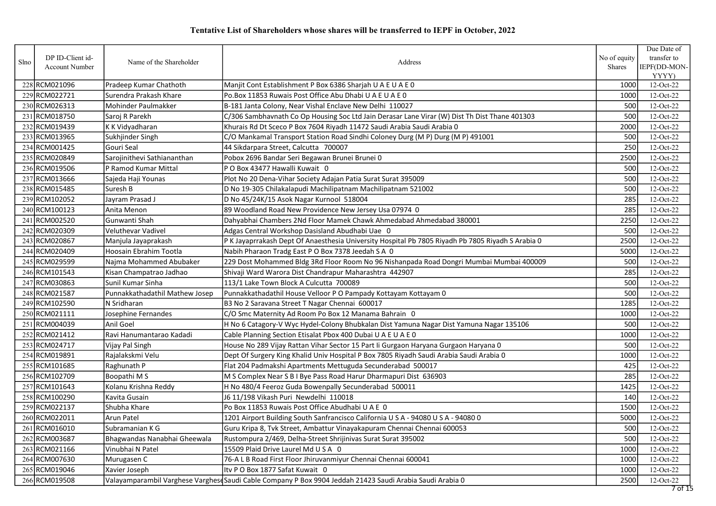|      |                       |                                |                                                                                                          |              | Due Date of                      |
|------|-----------------------|--------------------------------|----------------------------------------------------------------------------------------------------------|--------------|----------------------------------|
| Slno | DP ID-Client id-      | Name of the Shareholder        | Address                                                                                                  | No of equity | transfer to                      |
|      | <b>Account Number</b> |                                |                                                                                                          | Shares       | IEPF(DD-MON-                     |
|      | 228 RCM021096         | Pradeep Kumar Chathoth         | Manjit Cont Establishment P Box 6386 Sharjah U A E U A E 0                                               | 1000         | YYYY)<br>$12-Oct-22$             |
|      | 229 RCM022721         | Surendra Prakash Khare         | Po.Box 11853 Ruwais Post Office Abu Dhabi U A E U A E 0                                                  | 1000         | 12-Oct-22                        |
|      | 230 RCM026313         | Mohinder Paulmakker            | B-181 Janta Colony, Near Vishal Enclave New Delhi 110027                                                 | 500          | 12-Oct-22                        |
|      | 231 RCM018750         | Saroj R Parekh                 | C/306 Sambhavnath Co Op Housing Soc Ltd Jain Derasar Lane Virar (W) Dist Th Dist Thane 401303            | 500          | 12-Oct-22                        |
|      | 232 RCM019439         | K K Vidyadharan                | Khurais Rd Dt Sceco P Box 7604 Riyadh 11472 Saudi Arabia Saudi Arabia 0                                  | 2000         | 12-Oct-22                        |
|      | 233 RCM013965         | Sukhjinder Singh               | C/O Mankamal Transport Station Road Sindhi Coloney Durg (M P) Durg (M P) 491001                          | 500          | 12-Oct-22                        |
|      | 234 RCM001425         | Gouri Seal                     | 44 Sikdarpara Street, Calcutta 700007                                                                    | 250          | 12-Oct-22                        |
|      | 235 RCM020849         | Sarojinithevi Sathiananthan    | Pobox 2696 Bandar Seri Begawan Brunei Brunei 0                                                           | 2500         | 12-Oct-22                        |
|      | 236 RCM019506         | lP Ramod Kumar Mittal          | P O Box 43477 Hawalli Kuwait 0                                                                           | 500          | 12-Oct-22                        |
|      | 237 RCM013666         | Sajeda Haji Younas             | Plot No 20 Dena-Vihar Society Adajan Patia Surat Surat 395009                                            | 500          | 12-Oct-22                        |
|      | 238 RCM015485         | Suresh B                       | D No 19-305 Chilakalapudi Machilipatnam Machilipatnam 521002                                             | 500          | 12-Oct-22                        |
|      | 239 RCM102052         | Jayram Prasad J                | D No 45/24K/15 Asok Nagar Kurnool 518004                                                                 | 285          | 12-Oct-22                        |
|      | 240 RCM100123         | Anita Menon                    | 89 Woodland Road New Providence New Jersey Usa 07974 0                                                   | 285          | 12-Oct-22                        |
|      | 241 RCM002520         | Gunwanti Shah                  | Dahyabhai Chambers 2Nd Floor Mamek Chawk Ahmedabad Ahmedabad 380001                                      | 2250         | 12-Oct-22                        |
|      | 242 RCM020309         | Veluthevar Vadivel             | Adgas Central Workshop Dasisland Abudhabi Uae 0                                                          | 500          | 12-Oct-22                        |
|      | 243 RCM020867         | Manjula Jayaprakash            | P K Jayaprrakash Dept Of Anaesthesia University Hospital Pb 7805 Riyadh Pb 7805 Riyadh S Arabia 0        | 2500         | 12-Oct-22                        |
|      | 244 RCM020409         | Hoosain Ebrahim Tootla         | Nabih Pharaon Tradg East P O Box 7378 Jeedah S A 0                                                       | 5000         | 12-Oct-22                        |
|      | 245 RCM029599         | Najma Mohammed Abubaker        | 229 Dost Mohammed Bldg 3Rd Floor Room No 96 Nishanpada Road Dongri Mumbai Mumbai 400009                  | 500          | 12-Oct-22                        |
|      | 246 RCM101543         | Kisan Champatrao Jadhao        | Shivaji Ward Warora Dist Chandrapur Maharashtra 442907                                                   | 285          | 12-Oct-22                        |
|      | 247 RCM030863         | Sunil Kumar Sinha              | 113/1 Lake Town Block A Culcutta 700089                                                                  | 500          | 12-Oct-22                        |
|      | 248 RCM021587         | Punnakkathadathil Mathew Josep | Punnakkathadathil House Velloor P O Pampady Kottayam Kottayam 0                                          | 500          | 12-Oct-22                        |
|      | 249 RCM102590         | N Sridharan                    | B3 No 2 Saravana Street T Nagar Chennai 600017                                                           | 1285         | 12-Oct-22                        |
|      | 250 RCM021111         | Josephine Fernandes            | C/O Smc Maternity Ad Room Po Box 12 Manama Bahrain 0                                                     | 1000         | 12-Oct-22                        |
|      | 251 RCM004039         | Anil Goel                      | H No 6 Catagory-V Wyc Hydel-Colony Bhubkalan Dist Yamuna Nagar Dist Yamuna Nagar 135106                  | 500          | 12-Oct-22                        |
|      | 252 RCM021412         | Ravi Hanumantarao Kadadi       | Cable Planning Section Etisalat Pbox 400 Dubai U A E U A E 0                                             | 1000         | 12-Oct-22                        |
|      | 253 RCM024717         | Vijay Pal Singh                | House No 289 Vijay Rattan Vihar Sector 15 Part li Gurgaon Haryana Gurgaon Haryana 0                      | 500          | 12-Oct-22                        |
|      | 254 RCM019891         | Rajalakskmi Velu               | Dept Of Surgery King Khalid Univ Hospital P Box 7805 Riyadh Saudi Arabia Saudi Arabia 0                  | 1000         | 12-Oct-22                        |
|      | 255 RCM101685         | Raghunath P                    | Flat 204 Padmakshi Apartments Mettuguda Secunderabad 500017                                              | 425          | 12-Oct-22                        |
|      | 256 RCM102709         | Boopathi M S                   | M S Complex Near S B I Bye Pass Road Harur Dharmapuri Dist 636903                                        | 285          | 12-Oct-22                        |
|      | 257 RCM101643         | Kolanu Krishna Reddy           | H No 480/4 Feeroz Guda Bowenpally Secunderabad 500011                                                    | 1425         | 12-Oct-22                        |
|      | 258 RCM100290         | Kavita Gusain                  | J6 11/198 Vikash Puri Newdelhi 110018                                                                    | 140          | 12-Oct-22                        |
|      | 259 RCM022137         | Shubha Khare                   | Po Box 11853 Ruwais Post Office Abudhabi U A E 0                                                         | 1500         | 12-Oct-22                        |
|      | 260 RCM022011         | Arun Patel                     | 1201 Airport Building South Sanfrancisco California U S A - 94080 U S A - 94080 0                        | 5000         | 12-Oct-22                        |
|      | 261 RCM016010         | Subramanian K G                | Guru Kripa 8, Tvk Street, Ambattur Vinayakapuram Chennai Chennai 600053                                  | 500          | 12-Oct-22                        |
|      | 262 RCM003687         | Bhagwandas Nanabhai Gheewala   | Rustompura 2/469, Delha-Street Shrijinivas Surat Surat 395002                                            | 500          | 12-Oct-22                        |
|      | 263 RCM021166         | Vinubhai N Patel               | 15509 Plaid Drive Laurel Md U S A 0                                                                      | 1000         | 12-Oct-22                        |
|      | 264 RCM007630         | Murugasen C                    | 76-A L B Road First Floor Jhiruvanmiyur Chennai Chennai 600041                                           | 1000         | 12-Oct-22                        |
|      | 265 RCM019046         | Xavier Joseph                  | Itv P O Box 1877 Safat Kuwait 0                                                                          | 1000         | 12-Oct-22                        |
|      | 266 RCM019508         |                                | Valayamparambil Varghese Varghes Saudi Cable Company P Box 9904 Jeddah 21423 Saudi Arabia Saudi Arabia 0 | 2500         | $12-Oct-22$<br>7 <sub>of 1</sub> |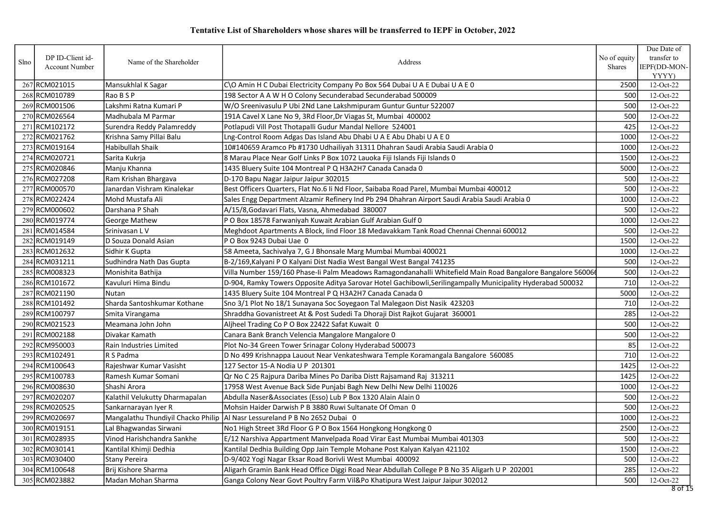|      |                  |                                |                                                                                                             |               | Due Date of        |
|------|------------------|--------------------------------|-------------------------------------------------------------------------------------------------------------|---------------|--------------------|
| Slno | DP ID-Client id- | Name of the Shareholder        | Address                                                                                                     | No of equity  | transfer to        |
|      | Account Number   |                                |                                                                                                             | <b>Shares</b> | IEPF(DD-MON-       |
|      | 267 RCM021015    | Mansukhlal K Sagar             | C\O Amin H C Dubai Electricity Company Po Box 564 Dubai U A E Dubai U A E 0                                 | 2500          | YYYY)<br>12-Oct-22 |
|      | 268 RCM010789    | Rao B S P                      | 198 Sector A A W H O Colony Secunderabad Secunderabad 500009                                                | 500           | 12-Oct-22          |
|      | 269 RCM001506    | Lakshmi Ratna Kumari P         | W/O Sreenivasulu P Ubi 2Nd Lane Lakshmipuram Guntur Guntur 522007                                           | 500           | 12-Oct-22          |
|      | 270 RCM026564    | Madhubala M Parmar             | 191A Cavel X Lane No 9, 3Rd Floor, Dr Viagas St, Mumbai 400002                                              | 500           | 12-Oct-22          |
|      | 271 RCM102172    | Surendra Reddy Palamreddy      | Potlapudi Vill Post Thotapalli Gudur Mandal Nellore 524001                                                  | 425           | 12-Oct-22          |
|      | 272 RCM021762    | Krishna Samy Pillai Balu       | Lng-Control Room Adgas Das Island Abu Dhabi U A E Abu Dhabi U A E 0                                         | 1000          | 12-Oct-22          |
|      | 273 RCM019164    | Habibullah Shaik               | 10#140659 Aramco Pb #1730 Udhailiyah 31311 Dhahran Saudi Arabia Saudi Arabia 0                              | 1000          | 12-Oct-22          |
|      | 274 RCM020721    | Sarita Kukrja                  | 8 Marau Place Near Golf Links P Box 1072 Lauoka Fiji Islands Fiji Islands 0                                 | 1500          | 12-Oct-22          |
|      | 275 RCM020846    | Manju Khanna                   | 1435 Bluery Suite 104 Montreal P Q H3A2H7 Canada Canada 0                                                   | 5000          | 12-Oct-22          |
|      | 276 RCM027208    | Ram Krishan Bhargava           | D-170 Bapu Nagar Jaipur Jaipur 302015                                                                       | 500           | 12-Oct-22          |
|      | 277 RCM000570    | Janardan Vishram Kinalekar     | Best Officers Quarters, Flat No.6 Ii Nd Floor, Saibaba Road Parel, Mumbai Mumbai 400012                     | 500           | 12-Oct-22          |
|      | 278 RCM022424    | lMohd Mustafa Ali              | Sales Engg Department Alzamir Refinery Ind Pb 294 Dhahran Airport Saudi Arabia Saudi Arabia 0               | 1000          | 12-Oct-22          |
|      | 279 RCM000602    | Darshana P Shah                | A/15/8, Godavari Flats, Vasna, Ahmedabad 380007                                                             | 500           | 12-Oct-22          |
|      | 280 RCM019774    | <b>George Mathew</b>           | P O Box 18578 Farwaniyah Kuwait Arabian Gulf Arabian Gulf 0                                                 | 1000          | 12-Oct-22          |
|      | 281 RCM014584    | Srinivasan L V                 | Meghdoot Apartments A Block, lind Floor 18 Medavakkam Tank Road Chennai Chennai 600012                      | 500           | 12-Oct-22          |
|      | 282 RCM019149    | D Souza Donald Asian           | P O Box 9243 Dubai Uae 0                                                                                    | 1500          | 12-Oct-22          |
|      | 283 RCM012632    | Sidhir K Gupta                 | 58 Ameeta, Sachivalya 7, G J Bhonsale Marg Mumbai Mumbai 400021                                             | 1000          | 12-Oct-22          |
|      | 284 RCM031211    | Sudhindra Nath Das Gupta       | B-2/169, Kalyani P O Kalyani Dist Nadia West Bangal West Bangal 741235                                      | 500           | 12-Oct-22          |
|      | 285 RCM008323    | Monishita Bathija              | Villa Number 159/160 Phase-li Palm Meadows Ramagondanahalli Whitefield Main Road Bangalore Bangalore 560066 | 500           | 12-Oct-22          |
|      | 286 RCM101672    | Kavuluri Hima Bindu            | D-904, Ramky Towers Opposite Aditya Sarovar Hotel Gachibowli, Serilingampally Municipality Hyderabad 500032 | 710           | 12-Oct-22          |
|      | 287 RCM021190    | Nutan                          | 1435 Bluery Suite 104 Montreal P Q H3A2H7 Canada Canada 0                                                   | 5000          | 12-Oct-22          |
|      | 288 RCM101492    | Sharda Santoshkumar Kothane    | Sno 3/1 Plot No 18/1 Sunayana Soc Soyegaon Tal Malegaon Dist Nasik 423203                                   | 710           | 12-Oct-22          |
|      | 289 RCM100797    | Smita Virangama                | Shraddha Govanistreet At & Post Sudedi Ta Dhoraji Dist Rajkot Gujarat 360001                                | 285           | 12-Oct-22          |
|      | 290 RCM021523    | Meamana John John              | Aljheel Trading Co P O Box 22422 Safat Kuwait 0                                                             | 500           | 12-Oct-22          |
|      | 291 RCM002188    | Divakar Kamath                 | Canara Bank Branch Velencia Mangalore Mangalore 0                                                           | 500           | 12-Oct-22          |
|      | 292 RCM950003    | Rain Industries Limited        | Plot No-34 Green Tower Srinagar Colony Hyderabad 500073                                                     | 85            | 12-Oct-22          |
|      | 293 RCM102491    | IR S Padma                     | D No 499 Krishnappa Lauout Near Venkateshwara Temple Koramangala Bangalore 560085                           | 710           | 12-Oct-22          |
|      | 294 RCM100643    | Rajeshwar Kumar Vasisht        | 127 Sector 15-A Nodia U P 201301                                                                            | 1425          | 12-Oct-22          |
|      | 295 RCM100783    | Ramesh Kumar Somani            | Qr No C 25 Rajpura Dariba Mines Po Dariba Distt Rajsamand Raj 313211                                        | 1425          | 12-Oct-22          |
|      | 296 RCM008630    | Shashi Arora                   | 17958 West Avenue Back Side Punjabi Bagh New Delhi New Delhi 110026                                         | 1000          | 12-Oct-22          |
|      | 297 RCM020207    | Kalathil Velukutty Dharmapalan | Abdulla Naser&Associates (Esso) Lub P Box 1320 Alain Alain 0                                                | 500           | 12-Oct-22          |
|      | 298 RCM020525    | Sankarnarayan Iyer R           | Mohsin Haider Darwish P B 3880 Ruwi Sultanate Of Oman 0                                                     | 500           | 12-Oct-22          |
|      | 299 RCM020697    |                                | Mangalathu Thundiyil Chacko Philip   Al Nasr Lessureland P B No 2652 Dubai 0                                | 1000          | 12-Oct-22          |
|      | 300 RCM019151    | Lal Bhagwandas Sirwani         | No1 High Street 3Rd Floor G P O Box 1564 Hongkong Hongkong 0                                                | 2500          | 12-Oct-22          |
|      | 301 RCM028935    | Vinod Harishchandra Sankhe     | E/12 Narshiva Appartment Manvelpada Road Virar East Mumbai Mumbai 401303                                    | 500           | 12-Oct-22          |
|      | 302 RCM030141    | Kantilal Khimji Dedhia         | Kantilal Dedhia Building Opp Jain Temple Mohane Post Kalyan Kalyan 421102                                   | 1500          | 12-Oct-22          |
|      | 303 RCM030400    | Stany Pereira                  | D-9/402 Yogi Nagar Eksar Road Borivli West Mumbai 400092                                                    | 500           | 12-Oct-22          |
|      | 304 RCM100648    | Brij Kishore Sharma            | Aligarh Gramin Bank Head Office Diggi Road Near Abdullah College P B No 35 Aligarh U P 202001               | 285           | 12-Oct-22          |
|      | 305 RCM023882    | Madan Mohan Sharma             | Ganga Colony Near Govt Poultry Farm Vil&Po Khatipura West Jaipur Jaipur 302012                              | 500           | 12-Oct-22          |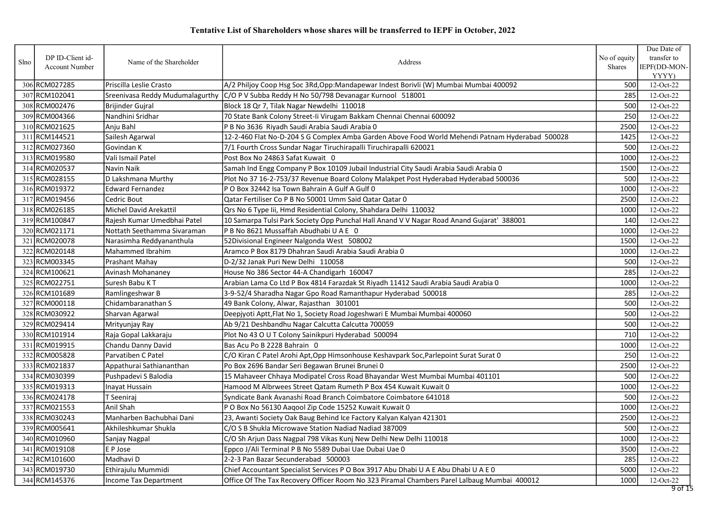|      |                       |                             |                                                                                                 |               | Due Date of                      |
|------|-----------------------|-----------------------------|-------------------------------------------------------------------------------------------------|---------------|----------------------------------|
| Slno | DP ID-Client id-      | Name of the Shareholder     | Address                                                                                         | No of equity  | transfer to                      |
|      | <b>Account Number</b> |                             |                                                                                                 | <b>Shares</b> | IEPF(DD-MON-                     |
|      | 306 RCM027285         | Priscilla Leslie Crasto     | A/2 Philjoy Coop Hsg Soc 3Rd, Opp: Mandapewar Indest Borivli (W) Mumbai Mumbai 400092           | 500           | YYYY)<br>12-Oct-22               |
|      | 307 RCM102041         |                             | Sreenivasa Reddy Mudumalagurthy C/O P V Subba Reddy H No 50/798 Devanagar Kurnool 518001        | 285           | 12-Oct-22                        |
|      | 308 RCM002476         | Brijinder Gujral            | Block 18 Qr 7, Tilak Nagar Newdelhi 110018                                                      | 500           | 12-Oct-22                        |
|      | 309 RCM004366         | Nandhini Sridhar            | 70 State Bank Colony Street-Ii Virugam Bakkam Chennai Chennai 600092                            | 250           | 12-Oct-22                        |
|      | 310 RCM021625         | Anju Bahl                   | P B No 3636 Riyadh Saudi Arabia Saudi Arabia 0                                                  | 2500          | 12-Oct-22                        |
|      | 311 RCM144521         | Sailesh Agarwal             | 12-2-460 Flat No-D-204 S G Complex Amba Garden Above Food World Mehendi Patnam Hyderabad 500028 | 1425          | 12-Oct-22                        |
|      | 312 RCM027360         | lGovindan K                 | 7/1 Fourth Cross Sundar Nagar Tiruchirapalli Tiruchirapalli 620021                              | 500           | 12-Oct-22                        |
|      | 313 RCM019580         | Vali Ismail Patel           | Post Box No 24863 Safat Kuwait 0                                                                | 1000          | 12-Oct-22                        |
|      | 314 RCM020537         | Navin Naik                  | Samah Ind Engg Company P Box 10109 Jubail Industrial City Saudi Arabia Saudi Arabia 0           | 1500          | 12-Oct-22                        |
|      | 315 RCM028155         | D Lakshmana Murthy          | Plot No 37 16-2-753/37 Revenue Board Colony Malakpet Post Hyderabad Hyderabad 500036            | 500           | 12-Oct-22                        |
|      | 316 RCM019372         | <b>Edward Fernandez</b>     | P O Box 32442 Isa Town Bahrain A Gulf A Gulf 0                                                  | 1000          | 12-Oct-22                        |
|      | 317 RCM019456         | Cedric Bout                 | Qatar Fertiliser Co P B No 50001 Umm Said Qatar Qatar 0                                         | 2500          | 12-Oct-22                        |
|      | 318 RCM026185         | Michel David Arekattil      | Ors No 6 Type Iii, Hmd Residential Colony, Shahdara Delhi 110032                                | 1000          | 12-Oct-22                        |
|      | 319 RCM100847         | Rajesh Kumar Umedbhai Patel | 10 Samarpa Tulsi Park Society Opp Punchal Hall Anand V V Nagar Road Anand Gujarat' 388001       | 140           | 12-Oct-22                        |
|      | 320 RCM021171         | Nottath Seethamma Sivaraman | P B No 8621 Mussaffah Abudhabi U A E 0                                                          | 1000          | 12-Oct-22                        |
|      | 321 RCM020078         | Narasimha Reddyananthula    | 52Divisional Engineer Nalgonda West 508002                                                      | 1500          | 12-Oct-22                        |
|      | 322 RCM020148         | Mahammed Ibrahim            | Aramco P Box 8179 Dhahran Saudi Arabia Saudi Arabia 0                                           | 1000          | 12-Oct-22                        |
|      | 323 RCM003345         | Prashant Mahay              | D-2/32 Janak Puri New Delhi 110058                                                              | 500           | 12-Oct-22                        |
|      | 324 RCM100621         | Avinash Mohananey           | House No 386 Sector 44-A Chandigarh 160047                                                      | 285           | 12-Oct-22                        |
|      | 325 RCM022751         | Suresh Babu K T             | Arabian Lama Co Ltd P Box 4814 Farazdak St Riyadh 11412 Saudi Arabia Saudi Arabia 0             | 1000          | 12-Oct-22                        |
|      | 326 RCM101689         | Ramlingeshwar B             | 3-9-52/4 Sharadha Nagar Gpo Road Ramanthapur Hyderabad 500018                                   | 285           | 12-Oct-22                        |
|      | 327 RCM000118         | Chidambaranathan S          | 49 Bank Colony, Alwar, Rajasthan 301001                                                         | 500           | 12-Oct-22                        |
|      | 328 RCM030922         | Sharvan Agarwal             | Deepjyoti Aptt, Flat No 1, Society Road Jogeshwari E Mumbai Mumbai 400060                       | 500           | 12-Oct-22                        |
|      | 329 RCM029414         | Mrityunjay Ray              | Ab 9/21 Deshbandhu Nagar Calcutta Calcutta 700059                                               | 500           | 12-Oct-22                        |
|      | 330 RCM101914         | Raja Gopal Lakkaraju        | Plot No 43 O U T Colony Sainikpuri Hyderabad 500094                                             | 710           | 12-Oct-22                        |
|      | 331 RCM019915         | Chandu Danny David          | Bas Acu Po B 2228 Bahrain 0                                                                     | 1000          | 12-Oct-22                        |
|      | 332 RCM005828         | Parvatiben C Patel          | C/O Kiran C Patel Arohi Apt, Opp Himsonhouse Keshavpark Soc, Parlepoint Surat Surat 0           | 250           | 12-Oct-22                        |
|      | 333 RCM021837         | Appathurai Sathiananthan    | Po Box 2696 Bandar Seri Begawan Brunei Brunei 0                                                 | 2500          | 12-Oct-22                        |
|      | 334 RCM030399         | Pushpadevi S Balodia        | 15 Mahaveer Chhaya Modipatel Cross Road Bhayandar West Mumbai Mumbai 401101                     | 500           | 12-Oct-22                        |
|      | 335 RCM019313         | Inayat Hussain              | Hamood M Albrwees Street Qatam Rumeth P Box 454 Kuwait Kuwait 0                                 | 1000          | 12-Oct-22                        |
|      | 336 RCM024178         | T Seeniraj                  | Syndicate Bank Avanashi Road Branch Coimbatore Coimbatore 641018                                | 500           | 12-Oct-22                        |
|      | 337 RCM021553         | Anil Shah                   | P O Box No 56130 Aaqool Zip Code 15252 Kuwait Kuwait 0                                          | 1000          | 12-Oct-22                        |
|      | 338 RCM030243         | Manharben Bachubhai Dani    | 23, Awanti Society Oak Baug Behind Ice Factory Kalyan Kalyan 421301                             | 2500          | 12-Oct-22                        |
|      | 339 RCM005641         | Akhileshkumar Shukla        | C/O S B Shukla Microwave Station Nadiad Nadiad 387009                                           | 500           | 12-Oct-22                        |
|      | 340 RCM010960         | Sanjay Nagpal               | C/O Sh Arjun Dass Nagpal 798 Vikas Kunj New Delhi New Delhi 110018                              | 1000          | 12-Oct-22                        |
|      | 341 RCM019108         | E P Jose                    | Eppco J/Ali Terminal P B No 5589 Dubai Uae Dubai Uae 0                                          | 3500          | 12-Oct-22                        |
|      | 342 RCM101600         | Madhavi D                   | 2-2-3 Pan Bazar Secunderabad 500003                                                             | 285           | 12-Oct-22                        |
|      | 343 RCM019730         | Ethirajulu Mummidi          | Chief Accountant Specialist Services P O Box 3917 Abu Dhabi U A E Abu Dhabi U A E 0             | 5000          | 12-Oct-22                        |
|      | 344 RCM145376         | Income Tax Department       | Office Of The Tax Recovery Officer Room No 323 Piramal Chambers Parel Lalbaug Mumbai 400012     | 1000          | $12-Oct-22$<br>Q <sub>of 1</sub> |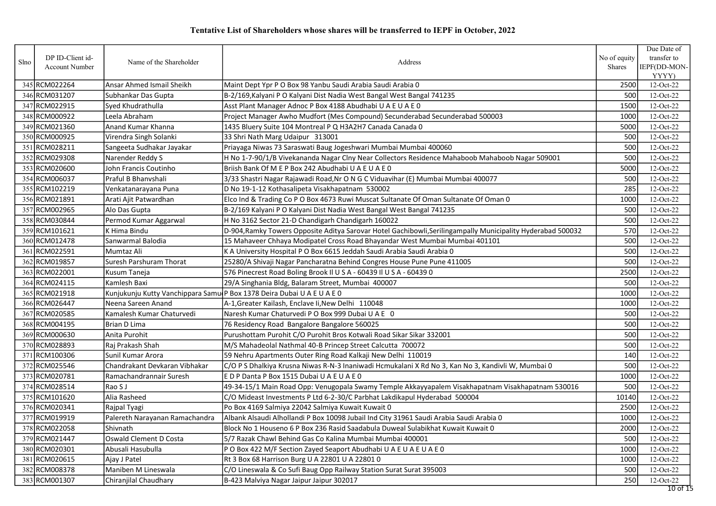|      |                       |                                |                                                                                                             |               | Due Date of           |
|------|-----------------------|--------------------------------|-------------------------------------------------------------------------------------------------------------|---------------|-----------------------|
| Slno | DP ID-Client id-      | Name of the Shareholder        | Address                                                                                                     | No of equity  | transfer to           |
|      | <b>Account Number</b> |                                |                                                                                                             | <b>Shares</b> | IEPF(DD-MON-<br>YYYY) |
|      | 345 RCM022264         | Ansar Ahmed Ismail Sheikh      | Maint Dept Ypr P O Box 98 Yanbu Saudi Arabia Saudi Arabia 0                                                 | 2500          | $12-Oct-22$           |
|      | 346 RCM031207         | Subhankar Das Gupta            | B-2/169,Kalyani P O Kalyani Dist Nadia West Bangal West Bangal 741235                                       | 500           | $12$ -Oct-22          |
|      | 347 RCM022915         | Syed Khudrathulla              | Asst Plant Manager Adnoc P Box 4188 Abudhabi U A E U A E 0                                                  | 1500          | 12-Oct-22             |
|      | 348 RCM000922         | Leela Abraham                  | Project Manager Awho Mudfort (Mes Compound) Secunderabad Secunderabad 500003                                | 1000          | 12-Oct-22             |
|      | 349 RCM021360         | Anand Kumar Khanna             | 1435 Bluery Suite 104 Montreal P Q H3A2H7 Canada Canada 0                                                   | 5000          | 12-Oct-22             |
|      | 350 RCM000925         | Virendra Singh Solanki         | 33 Shri Nath Marg Udaipur 313001                                                                            | 500           | 12-Oct-22             |
|      | 351 RCM028211         | Sangeeta Sudhakar Jayakar      | Priayaga Niwas 73 Saraswati Baug Jogeshwari Mumbai Mumbai 400060                                            | 500           | 12-Oct-22             |
|      | 352 RCM029308         | Narender Reddy S               | H No 1-7-90/1/B Vivekananda Nagar Clny Near Collectors Residence Mahaboob Mahaboob Nagar 509001             | 500           | 12-Oct-22             |
|      | 353 RCM020600         | John Francis Coutinho          | Briish Bank Of M E P Box 242 Abudhabi U A E U A E 0                                                         | 5000          | 12-Oct-22             |
|      | 354 RCM006037         | Praful B Bhanyshali            | 3/33 Shastri Nagar Rajawadi Road, Nr O N G C Viduavihar (E) Mumbai Mumbai 400077                            | 500           | 12-Oct-22             |
|      | 355 RCM102219         | Venkatanarayana Puna           | D No 19-1-12 Kothasalipeta Visakhapatnam 530002                                                             | 285           | 12-Oct-22             |
|      | 356 RCM021891         | Arati Ajit Patwardhan          | Elco Ind & Trading Co P O Box 4673 Ruwi Muscat Sultanate Of Oman Sultanate Of Oman 0                        | 1000          | 12-Oct-22             |
|      | 357 RCM002965         | Alo Das Gupta                  | B-2/169 Kalyani P O Kalyani Dist Nadia West Bangal West Bangal 741235                                       | 500           | 12-Oct-22             |
|      | 358 RCM030844         | Permod Kumar Aggarwal          | H No 3162 Sector 21-D Chandigarh Chandigarh 160022                                                          | 500           | 12-Oct-22             |
|      | 359 RCM101621         | K Hima Bindu                   | D-904, Ramky Towers Opposite Aditya Sarovar Hotel Gachibowli, Serilingampally Municipality Hyderabad 500032 | 570           | 12-Oct-22             |
|      | 360 RCM012478         | Sanwarmal Balodia              | 15 Mahaveer Chhaya Modipatel Cross Road Bhayandar West Mumbai Mumbai 401101                                 | 500           | 12-Oct-22             |
|      | 361 RCM022591         | Mumtaz Ali                     | K A University Hospital P O Box 6615 Jeddah Saudi Arabia Saudi Arabia 0                                     | 500           | 12-Oct-22             |
|      | 362 RCM019857         | Suresh Parshuram Thorat        | 25280/A Shivaji Nagar Pancharatna Behind Congres House Pune Pune 411005                                     | 500           | 12-Oct-22             |
|      | 363 RCM022001         | Kusum Taneja                   | 576 Pinecrest Road Boling Brook II U S A - 60439 II U S A - 60439 0                                         | 2500          | 12-Oct-22             |
|      | 364 RCM024115         | Kamlesh Baxi                   | 29/A Singhania Bldg, Balaram Street, Mumbai 400007                                                          | 500           | 12-Oct-22             |
|      | 365 RCM021918         |                                | Kunjukunju Kutty Vanchippara Samu P Box 1378 Deira Dubai U A E U A E 0                                      | 1000          | 12-Oct-22             |
|      | 366 RCM026447         | Neena Sareen Anand             | A-1, Greater Kailash, Enclave Ii, New Delhi 110048                                                          | 1000          | 12-Oct-22             |
|      | 367 RCM020585         | Kamalesh Kumar Chaturvedi      | Naresh Kumar Chaturvedi P O Box 999 Dubai U A E 0                                                           | 500           | 12-Oct-22             |
|      | 368 RCM004195         | Brian D Lima                   | 76 Residency Road Bangalore Bangalore 560025                                                                | 500           | 12-Oct-22             |
|      | 369 RCM000630         | Anita Purohit                  | Purushottam Purohit C/O Purohit Bros Kotwali Road Sikar Sikar 332001                                        | 500           | $12-Oct-22$           |
|      | 370 RCM028893         | Raj Prakash Shah               | M/S Mahadeolal Nathmal 40-B Princep Street Calcutta 700072                                                  | 500           | 12-Oct-22             |
|      | 371 RCM100306         | Sunil Kumar Arora              | 59 Nehru Apartments Outer Ring Road Kalkaji New Delhi 110019                                                | 140           | 12-Oct-22             |
|      | 372 RCM025546         | Chandrakant Devkaran Vibhakar  | C/O P S Dhalkiya Krusna Niwas R-N-3 Inaniwadi Hcmukalani X Rd No 3, Kan No 3, Kandivli W, Mumbai 0          | 500           | 12-Oct-22             |
|      | 373 RCM020781         | Ramachandrannair Suresh        | E D P Danta P Box 1515 Dubai U A E U A E 0                                                                  | 1000          | 12-Oct-22             |
|      | 374 RCM028514         | Rao S J                        | 49-34-15/1 Main Road Opp: Venugopala Swamy Temple Akkayyapalem Visakhapatnam Visakhapatnam 530016           | 500           | 12-Oct-22             |
|      | 375 RCM101620         | Alia Rasheed                   | C/O Mideast Investments P Ltd 6-2-30/C Parbhat Lakdikapul Hyderabad 500004                                  | 10140         | 12-Oct-22             |
|      | 376 RCM020341         | Rajpal Tyagi                   | Po Box 4169 Salmiya 22042 Salmiya Kuwait Kuwait 0                                                           | 2500          | 12-Oct-22             |
|      | 377 RCM019919         | Palereth Narayanan Ramachandra | Albank Alsaudi Alhollandi P Box 10098 Jubail Ind City 31961 Saudi Arabia Saudi Arabia 0                     | 1000          | 12-Oct-22             |
|      | 378 RCM022058         | Shivnath                       | Block No 1 Houseno 6 P Box 236 Rasid Saadabula Duweal Sulabikhat Kuwait Kuwait 0                            | 2000          | 12-Oct-22             |
|      | 379 RCM021447         | Oswald Clement D Costa         | 5/7 Razak Chawl Behind Gas Co Kalina Mumbai Mumbai 400001                                                   | 500           | 12-Oct-22             |
|      | 380 RCM020301         | Abusali Hasubulla              | P O Box 422 M/F Section Zayed Seaport Abudhabi U A E U A E U A E 0                                          | 1000          | 12-Oct-22             |
|      | 381 RCM020615         | Ajay J Patel                   | Rt 3 Box 68 Harrison Burg U A 22801 U A 22801 0                                                             | 1000          | 12-Oct-22             |
|      | 382 RCM008378         | Maniben M Lineswala            | C/O Lineswala & Co Sufi Baug Opp Railway Station Surat Surat 395003                                         | 500           | 12-Oct-22             |
|      | 383 RCM001307         | Chiranjilal Chaudhary          | B-423 Malviya Nagar Jaipur Jaipur 302017                                                                    | 250           | 12-Oct-22             |
|      |                       |                                |                                                                                                             |               | $10$ of $15$          |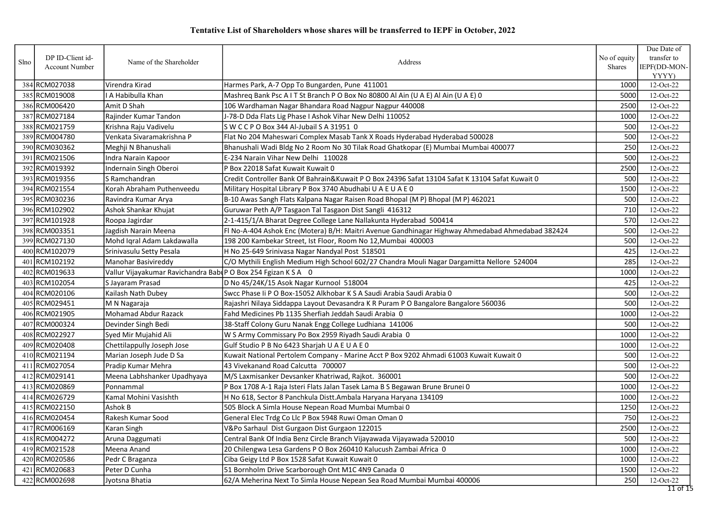|      |                       |                                                           |                                                                                                  |               | Due Date of            |
|------|-----------------------|-----------------------------------------------------------|--------------------------------------------------------------------------------------------------|---------------|------------------------|
| Slno | DP ID-Client id-      | Name of the Shareholder                                   | Address                                                                                          | No of equity  | transfer to            |
|      | <b>Account Number</b> |                                                           |                                                                                                  | <b>Shares</b> | IEPF(DD-MON-           |
|      | 384 RCM027038         | Virendra Kirad                                            | Harmes Park, A-7 Opp To Bungarden, Pune 411001                                                   | 1000          | YYYY)<br>12-Oct-22     |
|      | 385 RCM019008         | I A Habibulla Khan                                        | Mashreq Bank Psc A I T St Branch P O Box No 80800 Al Ain (U A E) Al Ain (U A E) 0                | 5000          | 12-Oct-22              |
|      | 386RCM006420          | Amit D Shah                                               | 106 Wardhaman Nagar Bhandara Road Nagpur Nagpur 440008                                           | 2500          | 12-Oct-22              |
|      | 387 RCM027184         | Rajinder Kumar Tandon                                     | J-78-D Dda Flats Lig Phase I Ashok Vihar New Delhi 110052                                        | 1000          | 12-Oct-22              |
|      | 388 RCM021759         | Krishna Raju Vadivelu                                     | SWCCPOBox 344 Al-Jubail SA 31951 0                                                               | 500           | 12-Oct-22              |
|      | 389 RCM004780         | Venkata Sivaramakrishna P                                 | Flat No 204 Maheswari Complex Masab Tank X Roads Hyderabad Hyderabad 500028                      | 500           | 12-Oct-22              |
|      | 390 RCM030362         | Meghji N Bhanushali                                       | Bhanushali Wadi Bldg No 2 Room No 30 Tilak Road Ghatkopar (E) Mumbai Mumbai 400077               | 250           | 12-Oct-22              |
|      | 391 RCM021506         | Indra Narain Kapoor                                       | E-234 Narain Vihar New Delhi 110028                                                              | 500           | 12-Oct-22              |
|      | 392 RCM019392         | Indernain Singh Oberoi                                    | P Box 22018 Safat Kuwait Kuwait 0                                                                | 2500          | 12-Oct-22              |
|      | 393 RCM019356         | S Ramchandran                                             | Credit Controller Bank Of Bahrain&Kuwait P O Box 24396 Safat 13104 Safat K 13104 Safat Kuwait 0  | 500           | 12-Oct-22              |
|      | 394 RCM021554         | Korah Abraham Puthenveedu                                 | Military Hospital Library P Box 3740 Abudhabi U A E U A E 0                                      | 1500          | 12-Oct-22              |
|      | 395 RCM030236         | Ravindra Kumar Arya                                       | B-10 Awas Sangh Flats Kalpana Nagar Raisen Road Bhopal (M P) Bhopal (M P) 462021                 | 500           | 12-Oct-22              |
|      | 396 RCM102902         | Ashok Shankar Khujat                                      | Guruwar Peth A/P Tasgaon Tal Tasgaon Dist Sangli 416312                                          | 710           | 12-Oct-22              |
|      | 397 RCM101928         | Roopa Jagirdar                                            | 2-1-415/1/A Bharat Degree College Lane Nallakunta Hyderabad 500414                               | 570           | 12-Oct-22              |
|      | 398 RCM003351         | Jagdish Narain Meena                                      | FI No-A-404 Ashok Enc (Motera) B/H: Maitri Avenue Gandhinagar Highway Ahmedabad Ahmedabad 382424 | 500           | 12-Oct-22              |
|      | 399 RCM027130         | Mohd Iqral Adam Lakdawalla                                | 198 200 Kambekar Street, Ist Floor, Room No 12, Mumbai 400003                                    | 500           | 12-Oct-22              |
|      | 400 RCM102079         | Srinivasulu Setty Pesala                                  | H No 25-649 Srinivasa Nagar Nandyal Post 518501                                                  | 425           | 12-Oct-22              |
|      | 401 RCM102192         | Manohar Basivireddy                                       | C/O Mythili English Medium High School 602/27 Chandra Mouli Nagar Dargamitta Nellore 524004      | 285           | 12-Oct-22              |
|      | 402 RCM019633         | Vallur Vijayakumar Ravichandra Bab(POBox 254 Fgizan KSA 0 |                                                                                                  | 1000          | 12-Oct-22              |
|      | 403 RCM102054         | S Jayaram Prasad                                          | D No 45/24K/15 Asok Nagar Kurnool 518004                                                         | 425           | 12-Oct-22              |
|      | 404 RCM020106         | Kailash Nath Dubey                                        | Swcc Phase Ii P O Box-15052 Alkhobar K S A Saudi Arabia Saudi Arabia 0                           | 500           | 12-Oct-22              |
|      | 405 RCM029451         | M N Nagaraja                                              | Rajashri Nilaya Siddappa Layout Devasandra K R Puram P O Bangalore Bangalore 560036              | 500           | 12-Oct-22              |
|      | 406 RCM021905         | Mohamad Abdur Razack                                      | Fahd Medicines Pb 1135 Sherfiah Jeddah Saudi Arabia 0                                            | 1000          | 12-Oct-22              |
|      | 407 RCM000324         | Devinder Singh Bedi                                       | 38-Staff Colony Guru Nanak Engg College Ludhiana 141006                                          | 500           | 12-Oct-22              |
|      | 408 RCM022927         | Syed Mir Mujahid Ali                                      | W S Army Commissary Po Box 2959 Riyadh Saudi Arabia 0                                            | 1000          | 12-Oct-22              |
|      | 409 RCM020408         | Chettilappully Joseph Jose                                | Gulf Studio P B No 6423 Sharjah U A E U A E 0                                                    | 1000          | 12-Oct-22              |
|      | 410 RCM021194         | Marian Joseph Jude D Sa                                   | Kuwait National Pertolem Company - Marine Acct P Box 9202 Ahmadi 61003 Kuwait Kuwait 0           | 500           | 12-Oct-22              |
|      | 411 RCM027054         | Pradip Kumar Mehra                                        | 43 Vivekanand Road Calcutta 700007                                                               | 500           | 12-Oct-22              |
|      | 412 RCM029141         | Meena Labhshanker Upadhyaya                               | M/S Laxmisanker Devsanker Khatriwad, Rajkot. 360001                                              | 500           | 12-Oct-22              |
|      | 413 RCM020869         | Ponnammal                                                 | P Box 1708 A-1 Raja Isteri Flats Jalan Tasek Lama B S Begawan Brune Brunei 0                     | 1000          | 12-Oct-22              |
|      | 414 RCM026729         | Kamal Mohini Vasishth                                     | H No 618, Sector 8 Panchkula Distt.Ambala Haryana Haryana 134109                                 | 1000          | 12-Oct-22              |
|      | 415 RCM022150         | Ashok B                                                   | 505 Block A Simla House Nepean Road Mumbai Mumbai 0                                              | 1250          | 12-Oct-22              |
|      | 416 RCM020454         | Rakesh Kumar Sood                                         | General Elec Trdg Co Llc P Box 5948 Ruwi Oman Oman 0                                             | 750           | 12-Oct-22              |
|      | 417 RCM006169         | Karan Singh                                               | V&Po Sarhaul Dist Gurgaon Dist Gurgaon 122015                                                    | 2500          | 12-Oct-22              |
|      | 418 RCM004272         | Aruna Daggumati                                           | Central Bank Of India Benz Circle Branch Vijayawada Vijayawada 520010                            | 500           | 12-Oct-22              |
|      | 419 RCM021528         | Meena Anand                                               | 20 Chilengwa Lesa Gardens P O Box 260410 Kalucush Zambai Africa 0                                | 1000          | 12-Oct-22              |
|      | 420 RCM020586         | Pedr C Braganza                                           | Ciba Geigy Ltd P Box 1528 Safat Kuwait Kuwait 0                                                  | 1000          | 12-Oct-22              |
|      | 421 RCM020683         | Peter D Cunha                                             | 51 Bornholm Drive Scarborough Ont M1C 4N9 Canada 0                                               | 1500          | 12-Oct-22              |
|      | 422 RCM002698         | Jyotsna Bhatia                                            | 62/A Meherina Next To Simla House Nepean Sea Road Mumbai Mumbai 400006                           | 250           | $12-Oct-22$<br>11 of 1 |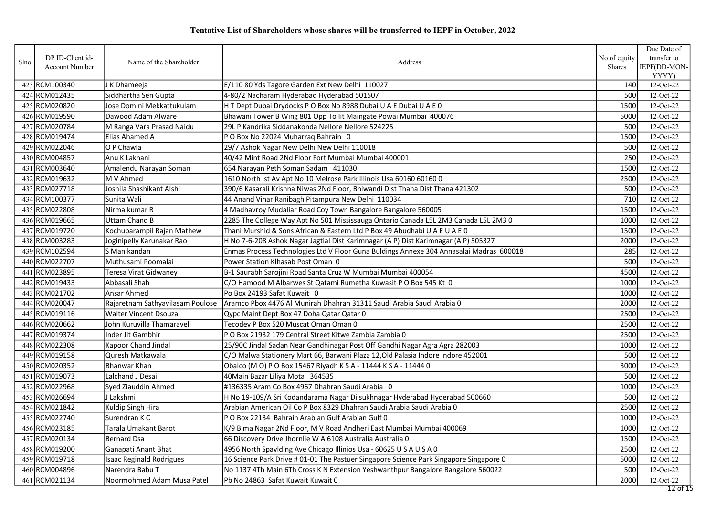|      |                                           |                                  |                                                                                         |                               | Due Date of                 |
|------|-------------------------------------------|----------------------------------|-----------------------------------------------------------------------------------------|-------------------------------|-----------------------------|
| Slno | DP ID-Client id-<br><b>Account Number</b> | Name of the Shareholder          | Address                                                                                 | No of equity<br><b>Shares</b> | transfer to<br>IEPF(DD-MON- |
|      |                                           |                                  |                                                                                         |                               | YYYY)                       |
|      | 423 RCM100340                             | J K Dhameeja                     | E/110 80 Yds Tagore Garden Ext New Delhi 110027                                         | 140                           | 12-Oct-22                   |
|      | 424 RCM012435                             | Siddhartha Sen Gupta             | 4-80/2 Nacharam Hyderabad Hyderabad 501507                                              | 500                           | 12-Oct-22                   |
|      | 425 RCM020820                             | Jose Domini Mekkattukulam        | H T Dept Dubai Drydocks P O Box No 8988 Dubai U A E Dubai U A E 0                       | 1500                          | 12-Oct-22                   |
|      | 426 RCM019590                             | Dawood Adam Alware               | Bhawani Tower B Wing 801 Opp To lit Maingate Powai Mumbai 400076                        | 5000                          | 12-Oct-22                   |
|      | 427 RCM020784                             | M Ranga Vara Prasad Naidu        | 29L P Kandrika Siddanakonda Nellore Nellore 524225                                      | 500                           | 12-Oct-22                   |
|      | 428 RCM019474                             | Elias Ahamed A                   | P O Box No 22024 Muharrag Bahrain 0                                                     | 1500                          | 12-Oct-22                   |
|      | 429 RCM022046                             | O P Chawla                       | 29/7 Ashok Nagar New Delhi New Delhi 110018                                             | 500                           | 12-Oct-22                   |
|      | 430 RCM004857                             | Anu K Lakhani                    | 40/42 Mint Road 2Nd Floor Fort Mumbai Mumbai 400001                                     | 250                           | 12-Oct-22                   |
|      | 431 RCM003640                             | Amalendu Narayan Soman           | 654 Narayan Peth Soman Sadam 411030                                                     | 1500                          | 12-Oct-22                   |
|      | 432 RCM019632                             | M V Ahmed                        | 1610 North Ist Av Apt No 10 Melrose Park Illinois Usa 60160 60160 0                     | 2500                          | 12-Oct-22                   |
|      | 433 RCM027718                             | Joshila Shashikant Alshi         | 390/6 Kasarali Krishna Niwas 2Nd Floor, Bhiwandi Dist Thana Dist Thana 421302           | 500                           | 12-Oct-22                   |
|      | 434 RCM100377                             | Sunita Wali                      | 44 Anand Vihar Ranibagh Pitampura New Delhi 110034                                      | 710                           | 12-Oct-22                   |
|      | 435 RCM022808                             | Nirmalkumar R                    | 4 Madhavroy Mudaliar Road Coy Town Bangalore Bangalore 560005                           | 1500                          | 12-Oct-22                   |
|      | 436 RCM019665                             | Uttam Chand B                    | 2285 The College Way Apt No 501 Mississauga Ontario Canada L5L 2M3 Canada L5L 2M3 0     | 1000                          | 12-Oct-22                   |
|      | 437 RCM019720                             | Kochuparampil Rajan Mathew       | Thani Murshid & Sons African & Eastern Ltd P Box 49 Abudhabi U A E U A E 0              | 1500                          | 12-Oct-22                   |
|      | 438 RCM003283                             | Joginipelly Karunakar Rao        | H No 7-6-208 Ashok Nagar Jagtial Dist Karimnagar (A P) Dist Karimnagar (A P) 505327     | 2000                          | 12-Oct-22                   |
|      | 439 RCM102594                             | S Manikandan                     | Enmas Process Technologies Ltd V Floor Guna Buldings Annexe 304 Annasalai Madras 600018 | 285                           | 12-Oct-22                   |
|      | 440 RCM022707                             | Muthusami Poomalai               | Power Station Klhasab Post Oman 0                                                       | 500                           | 12-Oct-22                   |
|      | 441 RCM023895                             | Teresa Virat Gidwaney            | B-1 Saurabh Sarojini Road Santa Cruz W Mumbai Mumbai 400054                             | 4500                          | 12-Oct-22                   |
|      | 442 RCM019433                             | Abbasali Shah                    | C/O Hamood M Albarwes St Qatami Rumetha Kuwasit P O Box 545 Kt 0                        | 1000                          | 12-Oct-22                   |
|      | 443 RCM021702                             | Ansar Ahmed                      | Po Box 24193 Safat Kuwait 0                                                             | 1000                          | 12-Oct-22                   |
|      | 444 RCM020047                             | Rajaretnam Sathyavilasam Poulose | Aramco Pbox 4476 Al Munirah Dhahran 31311 Saudi Arabia Saudi Arabia 0                   | 2000                          | 12-Oct-22                   |
|      | 445 RCM019116                             | Walter Vincent Dsouza            | Qypc Maint Dept Box 47 Doha Qatar Qatar 0                                               | 2500                          | 12-Oct-22                   |
|      | 446 RCM020662                             | John Kuruvilla Thamaraveli       | Tecodev P Box 520 Muscat Oman Oman 0                                                    | 2500                          | 12-Oct-22                   |
|      | 447 RCM019374                             | Inder Jit Gambhir                | P O Box 21932 179 Central Street Kitwe Zambia Zambia 0                                  | 2500                          | 12-Oct-22                   |
|      | 448 RCM022308                             | Kapoor Chand Jindal              | 25/90C Jindal Sadan Near Gandhinagar Post Off Gandhi Nagar Agra Agra 282003             | 1000                          | 12-Oct-22                   |
|      | 449 RCM019158                             | Quresh Matkawala                 | C/O Malwa Stationery Mart 66, Barwani Plaza 12, Old Palasia Indore Indore 452001        | 500                           | 12-Oct-22                   |
|      | 450 RCM020352                             | Bhanwar Khan                     | Obalco (M O) P O Box 15467 Riyadh K S A - 11444 K S A - 11444 0                         | 3000                          | 12-Oct-22                   |
|      | 451 RCM019073                             | Lalchand J Desai                 | 40Main Bazar Liliya Mota 364535                                                         | 500                           | 12-Oct-22                   |
|      | 452 RCM022968                             | Syed Ziauddin Ahmed              | #136335 Aram Co Box 4967 Dhahran Saudi Arabia 0                                         | 1000                          | 12-Oct-22                   |
|      | 453 RCM026694                             | J Lakshmi                        | H No 19-109/A Sri Kodandarama Nagar Dilsukhnagar Hyderabad Hyderabad 500660             | 500                           | 12-Oct-22                   |
|      | 454 RCM021842                             | Kuldip Singh Hira                | Arabian American Oil Co P Box 8329 Dhahran Saudi Arabia Saudi Arabia 0                  | 2500                          | 12-Oct-22                   |
|      | 455 RCM022740                             | Surendran K C                    | PO Box 22134 Bahrain Arabian Gulf Arabian Gulf 0                                        | 1000                          | 12-Oct-22                   |
|      | 456 RCM023185                             | Tarala Umakant Barot             | K/9 Bima Nagar 2Nd Floor, M V Road Andheri East Mumbai Mumbai 400069                    | 1000                          | 12-Oct-22                   |
|      | 457 RCM020134                             | Bernard Dsa                      | 66 Discovery Drive Jhornlie W A 6108 Australia Australia 0                              | 1500                          | 12-Oct-22                   |
|      | 458 RCM019200                             | Ganapati Anant Bhat              | 4956 North Spavlding Ave Chicago Illinios Usa - 60625 U S A U S A 0                     | 2500                          | 12-Oct-22                   |
|      | 459 RCM019718                             | Isaac Reginald Rodrigues         | 16 Science Park Drive # 01-01 The Pastuer Singapore Science Park Singapore Singapore 0  | 5000                          | 12-Oct-22                   |
|      | 460 RCM004896                             | Narendra Babu T                  | No 1137 4Th Main 6Th Cross K N Extension Yeshwanthpur Bangalore Bangalore 560022        | 500                           | 12-Oct-22                   |
|      | 461 RCM021134                             | Noormohmed Adam Musa Patel       | Pb No 24863 Safat Kuwait Kuwait 0                                                       | 2000                          | 12-Oct-22                   |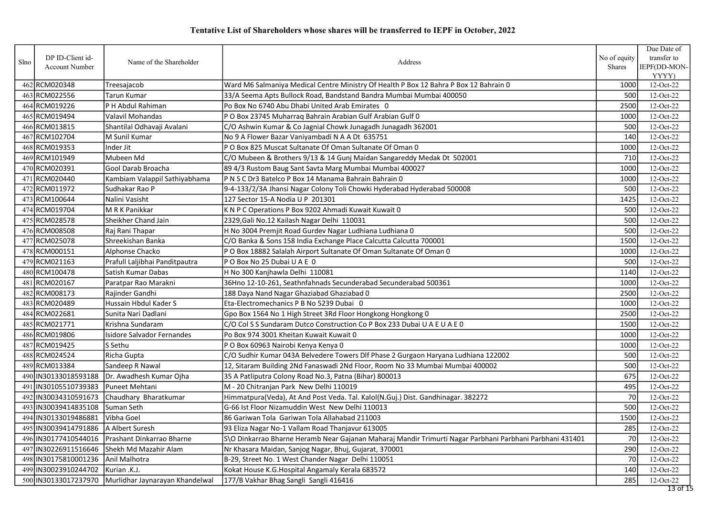|      |                                        |                                 |                                                                                                          |               | Due Date of          |
|------|----------------------------------------|---------------------------------|----------------------------------------------------------------------------------------------------------|---------------|----------------------|
| Slno | DP ID-Client id-                       | Name of the Shareholder         | Address                                                                                                  | No of equity  | transfer to          |
|      | <b>Account Number</b>                  |                                 |                                                                                                          | <b>Shares</b> | IEPF(DD-MON-         |
|      | 462 RCM020348                          | Treesajacob                     | Ward M6 Salmaniya Medical Centre Ministry Of Health P Box 12 Bahra P Box 12 Bahrain 0                    | 1000          | YYYY)<br>$12-Oct-22$ |
|      | 463 RCM022556                          | Tarun Kumar                     | 33/A Seema Apts Bullock Road, Bandstand Bandra Mumbai Mumbai 400050                                      | 500           | $12$ -Oct-22         |
|      | 464 RCM019226                          | P H Abdul Rahiman               | Po Box No 6740 Abu Dhabi United Arab Emirates 0                                                          | 2500          | $12$ -Oct-22         |
|      | 465 RCM019494                          | Valavil Mohandas                | P O Box 23745 Muharraq Bahrain Arabian Gulf Arabian Gulf 0                                               | 1000          | 12-Oct-22            |
|      | 466 RCM013815                          | Shantilal Odhavaji Avalani      | C/O Ashwin Kumar & Co Jagnial Chowk Junagadh Junagadh 362001                                             | 500           | 12-Oct-22            |
|      | 467 RCM102704                          | M Sunil Kumar                   | No 9 A Flower Bazar Vaniyambadi N A A Dt 635751                                                          | 140           | 12-Oct-22            |
|      | 468 RCM019353                          | Inder Jit                       | P O Box 825 Muscat Sultanate Of Oman Sultanate Of Oman 0                                                 | 1000          | 12-Oct-22            |
|      | 469 RCM101949                          | lMubeen Md                      | C/O Mubeen & Brothers 9/13 & 14 Gunj Maidan Sangareddy Medak Dt 502001                                   | 710           | 12-Oct-22            |
|      | 470 RCM020391                          | Gool Darab Broacha              | 89 4/3 Rustom Baug Sant Savta Marg Mumbai Mumbai 400027                                                  | 1000          | 12-Oct-22            |
|      | 471 RCM020440                          | Kambiam Valappil Sathiyabhama   | P N S C Dr3 Batelco P Box 14 Manama Bahrain Bahrain 0                                                    | 1000          | 12-Oct-22            |
|      | 472 RCM011972                          | Sudhakar Rao P                  | 9-4-133/2/3A Jhansi Nagar Colony Toli Chowki Hyderabad Hyderabad 500008                                  | 500           | 12-Oct-22            |
|      | 473 RCM100644                          | Nalini Vasisht                  | 127 Sector 15-A Nodia U P 201301                                                                         | 1425          | 12-Oct-22            |
|      | 474 RCM019704                          | M R K Panikkar                  | K N P C Operations P Box 9202 Ahmadi Kuwait Kuwait 0                                                     | 500           | 12-Oct-22            |
|      | 475 RCM028578                          | Sheikher Chand Jain             | 2329, Gali No.12 Kailash Nagar Delhi 110031                                                              | 500           | 12-Oct-22            |
|      | 476 RCM008508                          | Raj Rani Thapar                 | H No 3004 Premjit Road Gurdev Nagar Ludhiana Ludhiana 0                                                  | 500           | 12-Oct-22            |
|      | 477 RCM025078                          | Shreekishan Banka               | C/O Banka & Sons 158 India Exchange Place Calcutta Calcutta 700001                                       | 1500          | 12-Oct-22            |
|      | 478 RCM000151                          | Alphonse Chacko                 | P O Box 18882 Salalah Airport Sultanate Of Oman Sultanate Of Oman 0                                      | 1000          | 12-Oct-22            |
|      | 479 RCM021163                          | Prafull Laljibhai Panditpautra  | IP O Box No 25 Dubai U A E 0                                                                             | 500           | 12-Oct-22            |
|      | 480 RCM100478                          | Satish Kumar Dabas              | H No 300 Kanihawla Delhi 110081                                                                          | 1140          | 12-Oct-22            |
|      | 481 RCM020167                          | Paratpar Rao Marakni            | 36Hno 12-10-261, Seathnfahnads Secunderabad Secunderabad 500361                                          | 1000          | 12-Oct-22            |
|      | 482 RCM008173                          | Rajinder Gandhi                 | 188 Daya Nand Nagar Ghaziabad Ghaziabad 0                                                                | 2500          | 12-Oct-22            |
|      | 483 RCM020489                          | Hussain Hbdul Kader S           | Eta-Electromechanics P B No 5239 Dubai 0                                                                 | 1000          | 12-Oct-22            |
|      | 484 RCM022681                          | Sunita Nari Dadlani             | Gpo Box 1564 No 1 High Street 3Rd Floor Hongkong Hongkong 0                                              | 2500          | 12-Oct-22            |
|      | 485 RCM021771                          | Krishna Sundaram                | C/O Col S S Sundaram Dutco Construction Co P Box 233 Dubai U A E U A E 0                                 | 1500          | 12-Oct-22            |
|      | 486 RCM019806                          | Isidore Salvador Fernandes      | Po Box 974 3001 Kheitan Kuwait Kuwait 0                                                                  | 1000          | $12-Oct-22$          |
|      | 487 RCM019425                          | lS Sethu                        | P O Box 60963 Nairobi Kenya Kenya 0                                                                      | 1000          | 12-Oct-22            |
|      | 488 RCM024524                          | Richa Gupta                     | C/O Sudhir Kumar 043A Belvedere Towers Dlf Phase 2 Gurgaon Haryana Ludhiana 122002                       | 500           | 12-Oct-22            |
|      | 489 RCM013384                          | Sandeep R Nawal                 | 12, Sitaram Building 2Nd Fanaswadi 2Nd Floor, Room No 33 Mumbai Mumbai 400002                            | 500           | 12-Oct-22            |
|      | 490 IN30133018593188                   | Dr. Awadhesh Kumar Ojha         | 35 A Patliputra Colony Road No.3, Patna (Bihar) 800013                                                   | 675           | 12-Oct-22            |
|      | 491   IN30105510739383                 | lPuneet Mehtani                 | M - 20 Chitranjan Park New Delhi 110019                                                                  | 495           | 12-Oct-22            |
|      | 492 IN30034310591673                   | Chaudhary Bharatkumar           | Himmatpura(Veda), At And Post Veda. Tal. Kalol(N.Guj.) Dist. Gandhinagar. 382272                         | 70            | 12-Oct-22            |
|      | 493 IN30039414835108                   | lSuman Seth                     | G-66 Ist Floor Nizamuddin West New Delhi 110013                                                          | 500           | 12-Oct-22            |
|      | 494 IN30133019486881                   | Vibha Goel                      | 86 Gariwan Tola Gariwan Tola Allahabad 211003                                                            | 1500          | 12-Oct-22            |
|      | 495 IN30039414791886   A Albert Suresh |                                 | 93 Eliza Nagar No-1 Vallam Road Thanjavur 613005                                                         | 285           | 12-Oct-22            |
|      | 496 IN30177410544016                   | Prashant Dinkarrao Bharne       | S\O Dinkarrao Bharne Heramb Near Gajanan Maharaj Mandir Trimurti Nagar Parbhani Parbhani Parbhani 431401 | 70            | 12-Oct-22            |
|      | 497 IN30226911516646                   | Shekh Md Mazahir Alam           | Nr Khasara Maidan, Sanjog Nagar, Bhuj, Gujarat, 370001                                                   | 290           | 12-Oct-22            |
|      | 498 IN30175810001236                   | Anil Malhotra                   | B-29, Street No. 1 West Chander Nagar Delhi 110051                                                       | 70            | 12-Oct-22            |
|      | 499 IN30023910244702                   | Kurian .K.J.                    | Kokat House K.G. Hospital Angamaly Kerala 683572                                                         | 140           | 12-Oct-22            |
|      | 500 IN30133017237970                   | Murlidhar Jaynarayan Khandelwal | 177/B Vakhar Bhag Sangli Sangli 416416                                                                   | 285           | 12-Oct-22            |
|      |                                        |                                 |                                                                                                          |               | 13 of 15             |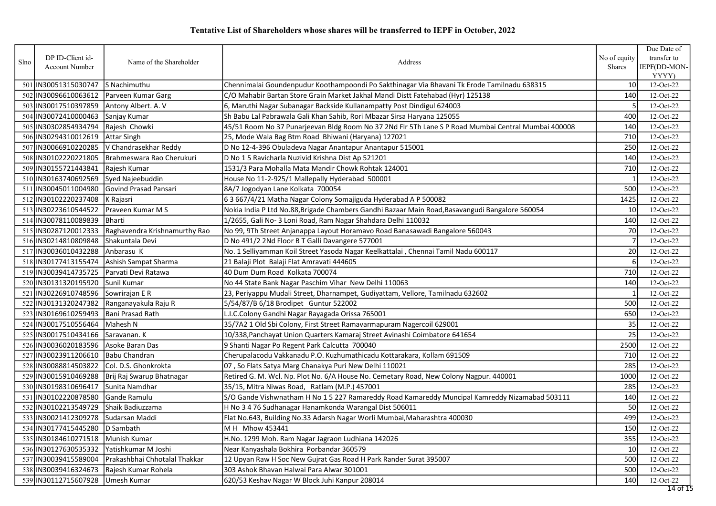| Name of the Shareholder<br>Slno<br>Address<br><b>Account Number</b><br>Shares<br>YYYY)<br>IN30051315030747<br>S Nachimuthu<br>Chennimalai Goundenpudur Koothampoondi Po Sakthinagar Via Bhavani Tk Erode Tamilnadu 638315<br>10 <sup>1</sup><br>501<br>IN30096610063612<br>C/O Mahabir Bartan Store Grain Market Jakhal Mandi Distt Fatehabad (Hyr) 125138<br>140<br>502<br>Parveen Kumar Garg<br>IN30017510397859<br>Antony Albert. A. V<br>6, Maruthi Nagar Subanagar Backside Kullanampatty Post Dindigul 624003<br>5<br>503 <sup>I</sup><br>IN30072410000463<br>Sanjay Kumar<br>Sh Babu Lal Pabrawala Gali Khan Sahib, Rori Mbazar Sirsa Haryana 125055<br>400<br>504<br>IN30302854934794<br>Rajesh Chowki<br>45/51 Room No 37 Punarjeevan Bldg Room No 37 2Nd Flr 5Th Lane S P Road Mumbai Central Mumbai 400008<br>140<br>505<br>IN30294310012619<br><b>Attar Singh</b><br>25, Mode Wala Bag Btm Road Bhiwani (Haryana) 127021<br>710<br>506 <sup>I</sup><br>IN30066910220285<br>V Chandrasekhar Reddy<br>250<br>D No 12-4-396 Obuladeva Nagar Anantapur Anantapur 515001<br>507<br>IN30102220221805<br>Brahmeswara Rao Cherukuri<br>140<br>D No 15 Ravicharla Nuzivid Krishna Dist Ap 521201<br>508<br>IN30155721443841<br>1531/3 Para Mohalla Mata Mandir Chowk Rohtak 124001<br>710<br>509<br>Rajesh Kumar<br>510 IN30163740692569<br>Syed Najeebuddin<br>House No 11-2-925/1 Mallepally Hyderabad 500001<br>1<br>IN30045011004980<br>Govind Prasad Pansari<br>8A/7 Jogodyan Lane Kolkata 700054<br>500<br>511<br>512 IN30102220237408<br>63 667/4/21 Matha Nagar Colony Somajiguda Hyderabad A P 500082<br>K Rajasri<br>1425<br>513 IN30223610544522<br>Praveen Kumar M S<br>Nokia India P Ltd No.88, Brigade Chambers Gandhi Bazaar Main Road, Basavangudi Bangalore 560054<br>10 <sup>1</sup><br>514 IN30078110089839<br>Bharti<br>1/2655, Gali No- 3 Loni Road, Ram Nagar Shahdara Delhi 110032<br>140<br>515 IN30287120012333<br>Raghavendra Krishnamurthy Rao<br>70<br>No 99, 9Th Street Anjanappa Layout Horamavo Road Banasawadi Bangalore 560043<br>516 IN30214810809848<br>Shakuntala Devi<br>D No 491/2 2Nd Floor B T Galli Davangere 577001<br>7 <sup>1</sup><br>517 IN30036010432288<br>No. 1 Selliyamman Koil Street Yasoda Nagar Keelkattalai, Chennai Tamil Nadu 600117<br>Anbarasu K<br>20<br>$6 \overline{6}$<br>Ashish Sampat Sharma<br>518 IN30177413155474<br>21 Balaji Plot Balaji Flat Amravati 444605<br>519 IN30039414735725<br>40 Dum Dum Road Kolkata 700074<br>710<br>Parvati Devi Ratawa<br>520 IN30131320195920<br>Sunil Kumar<br>140<br>No 44 State Bank Nagar Paschim Vihar New Delhi 110063<br>521 IN30226910748596<br>Sowrirajan E R<br>23, Periyappu Mudali Street, Dharnampet, Gudiyattam, Vellore, Tamilnadu 632602<br>1<br>500<br>5/54/87/B 6/18 Brodipet Guntur 522002<br>522 IN30131320247382<br>Ranganayakula Raju R<br>Bani Prasad Rath<br>L.I.C.Colony Gandhi Nagar Rayagada Orissa 765001<br>523 IN30169610259493<br>650<br>35<br>524 IN30017510556464<br>lMahesh N<br>35/7A2 1 Old Sbi Colony, First Street Ramavarmapuram Nagercoil 629001<br>25<br>525 IN30017510434166<br>10/338, Panchayat Union Quarters Kamaraj Street Avinashi Coimbatore 641654<br> Saravanan. K<br>2500<br>526 IN30036020183596<br>Asoke Baran Das<br>9 Shanti Nagar Po Regent Park Calcutta 700040<br>710<br>527 IN30023911206610<br>Babu Chandran<br>Cherupalacodu Vakkanadu P.O. Kuzhumathicadu Kottarakara, Kollam 691509<br>285<br>528 IN30088814503822<br>Col. D.S. Ghonkrokta<br>07, So Flats Satya Marg Chanakya Puri New Delhi 110021<br>Retired G. M. Wcl. Np. Plot No. 6/A House No. Cemetary Road, New Colony Nagpur. 440001<br>529 IN30015910469288<br>Brij Raj Swarup Bhatnagar<br>1000<br>530 IN30198310696417<br>Sunita Namdhar<br>35/15, Mitra Niwas Road, Ratlam (M.P.) 457001<br>285<br>531 IN30102220878580<br>S/O Gande Vishwnatham H No 1 5 227 Ramareddy Road Kamareddy Muncipal Kamreddy Nizamabad 503111<br>140<br>Gande Ramulu<br>IN30102213549729<br>50<br>532<br>Shaik Badiuzzama<br>H No 3 4 76 Sudhanagar Hanamkonda Warangal Dist 506011<br>IN30021412309278<br>499<br>Sudarsan Maddi<br>Flat No.643, Building No.33 Adarsh Nagar Worli Mumbai, Maharashtra 400030<br>5331<br>534 IN30177415445280 D Sambath<br>M H Mhow 453441<br>150<br>535 IN30184610271518<br>Munish Kumar<br>355<br>H.No. 1299 Moh. Ram Nagar Jagraon Ludhiana 142026<br>536 IN30127630535332<br>Yatishkumar M Joshi<br>Near Kanyashala Bokhira Porbandar 360579<br>10<br>537 IN30039415589004<br>Prakashbhai Chhotalal Thakkar<br>12 Upyan Raw H Soc New Gujrat Gas Road H Park Rander Surat 395007<br>500 |                  |  |              | Due Date of             |
|------------------------------------------------------------------------------------------------------------------------------------------------------------------------------------------------------------------------------------------------------------------------------------------------------------------------------------------------------------------------------------------------------------------------------------------------------------------------------------------------------------------------------------------------------------------------------------------------------------------------------------------------------------------------------------------------------------------------------------------------------------------------------------------------------------------------------------------------------------------------------------------------------------------------------------------------------------------------------------------------------------------------------------------------------------------------------------------------------------------------------------------------------------------------------------------------------------------------------------------------------------------------------------------------------------------------------------------------------------------------------------------------------------------------------------------------------------------------------------------------------------------------------------------------------------------------------------------------------------------------------------------------------------------------------------------------------------------------------------------------------------------------------------------------------------------------------------------------------------------------------------------------------------------------------------------------------------------------------------------------------------------------------------------------------------------------------------------------------------------------------------------------------------------------------------------------------------------------------------------------------------------------------------------------------------------------------------------------------------------------------------------------------------------------------------------------------------------------------------------------------------------------------------------------------------------------------------------------------------------------------------------------------------------------------------------------------------------------------------------------------------------------------------------------------------------------------------------------------------------------------------------------------------------------------------------------------------------------------------------------------------------------------------------------------------------------------------------------------------------------------------------------------------------------------------------------------------------------------------------------------------------------------------------------------------------------------------------------------------------------------------------------------------------------------------------------------------------------------------------------------------------------------------------------------------------------------------------------------------------------------------------------------------------------------------------------------------------------------------------------------------------------------------------------------------------------------------------------------------------------------------------------------------------------------------------------------------------------------------------------------------------------------------------------------------------------------------------------------------------------------------------------------------------------------------------------------------------------------------------------------------------------------------------------------------------------------------------------------------------------------------------------------------------------------------------------------------------------------------------------------------------------------------------------------------------------------------------------------------------------------------------------|------------------|--|--------------|-------------------------|
|                                                                                                                                                                                                                                                                                                                                                                                                                                                                                                                                                                                                                                                                                                                                                                                                                                                                                                                                                                                                                                                                                                                                                                                                                                                                                                                                                                                                                                                                                                                                                                                                                                                                                                                                                                                                                                                                                                                                                                                                                                                                                                                                                                                                                                                                                                                                                                                                                                                                                                                                                                                                                                                                                                                                                                                                                                                                                                                                                                                                                                                                                                                                                                                                                                                                                                                                                                                                                                                                                                                                                                                                                                                                                                                                                                                                                                                                                                                                                                                                                                                                                                                                                                                                                                                                                                                                                                                                                                                                                                                                                                                                                                                | DP ID-Client id- |  | No of equity | transfer to             |
|                                                                                                                                                                                                                                                                                                                                                                                                                                                                                                                                                                                                                                                                                                                                                                                                                                                                                                                                                                                                                                                                                                                                                                                                                                                                                                                                                                                                                                                                                                                                                                                                                                                                                                                                                                                                                                                                                                                                                                                                                                                                                                                                                                                                                                                                                                                                                                                                                                                                                                                                                                                                                                                                                                                                                                                                                                                                                                                                                                                                                                                                                                                                                                                                                                                                                                                                                                                                                                                                                                                                                                                                                                                                                                                                                                                                                                                                                                                                                                                                                                                                                                                                                                                                                                                                                                                                                                                                                                                                                                                                                                                                                                                |                  |  |              | IEPF(DD-MON-            |
|                                                                                                                                                                                                                                                                                                                                                                                                                                                                                                                                                                                                                                                                                                                                                                                                                                                                                                                                                                                                                                                                                                                                                                                                                                                                                                                                                                                                                                                                                                                                                                                                                                                                                                                                                                                                                                                                                                                                                                                                                                                                                                                                                                                                                                                                                                                                                                                                                                                                                                                                                                                                                                                                                                                                                                                                                                                                                                                                                                                                                                                                                                                                                                                                                                                                                                                                                                                                                                                                                                                                                                                                                                                                                                                                                                                                                                                                                                                                                                                                                                                                                                                                                                                                                                                                                                                                                                                                                                                                                                                                                                                                                                                |                  |  |              | 12-Oct-22               |
|                                                                                                                                                                                                                                                                                                                                                                                                                                                                                                                                                                                                                                                                                                                                                                                                                                                                                                                                                                                                                                                                                                                                                                                                                                                                                                                                                                                                                                                                                                                                                                                                                                                                                                                                                                                                                                                                                                                                                                                                                                                                                                                                                                                                                                                                                                                                                                                                                                                                                                                                                                                                                                                                                                                                                                                                                                                                                                                                                                                                                                                                                                                                                                                                                                                                                                                                                                                                                                                                                                                                                                                                                                                                                                                                                                                                                                                                                                                                                                                                                                                                                                                                                                                                                                                                                                                                                                                                                                                                                                                                                                                                                                                |                  |  |              | 12-Oct-22               |
|                                                                                                                                                                                                                                                                                                                                                                                                                                                                                                                                                                                                                                                                                                                                                                                                                                                                                                                                                                                                                                                                                                                                                                                                                                                                                                                                                                                                                                                                                                                                                                                                                                                                                                                                                                                                                                                                                                                                                                                                                                                                                                                                                                                                                                                                                                                                                                                                                                                                                                                                                                                                                                                                                                                                                                                                                                                                                                                                                                                                                                                                                                                                                                                                                                                                                                                                                                                                                                                                                                                                                                                                                                                                                                                                                                                                                                                                                                                                                                                                                                                                                                                                                                                                                                                                                                                                                                                                                                                                                                                                                                                                                                                |                  |  |              | $12-Oct-22$             |
|                                                                                                                                                                                                                                                                                                                                                                                                                                                                                                                                                                                                                                                                                                                                                                                                                                                                                                                                                                                                                                                                                                                                                                                                                                                                                                                                                                                                                                                                                                                                                                                                                                                                                                                                                                                                                                                                                                                                                                                                                                                                                                                                                                                                                                                                                                                                                                                                                                                                                                                                                                                                                                                                                                                                                                                                                                                                                                                                                                                                                                                                                                                                                                                                                                                                                                                                                                                                                                                                                                                                                                                                                                                                                                                                                                                                                                                                                                                                                                                                                                                                                                                                                                                                                                                                                                                                                                                                                                                                                                                                                                                                                                                |                  |  |              | $12-Oct-22$             |
|                                                                                                                                                                                                                                                                                                                                                                                                                                                                                                                                                                                                                                                                                                                                                                                                                                                                                                                                                                                                                                                                                                                                                                                                                                                                                                                                                                                                                                                                                                                                                                                                                                                                                                                                                                                                                                                                                                                                                                                                                                                                                                                                                                                                                                                                                                                                                                                                                                                                                                                                                                                                                                                                                                                                                                                                                                                                                                                                                                                                                                                                                                                                                                                                                                                                                                                                                                                                                                                                                                                                                                                                                                                                                                                                                                                                                                                                                                                                                                                                                                                                                                                                                                                                                                                                                                                                                                                                                                                                                                                                                                                                                                                |                  |  |              | 12-Oct-22               |
|                                                                                                                                                                                                                                                                                                                                                                                                                                                                                                                                                                                                                                                                                                                                                                                                                                                                                                                                                                                                                                                                                                                                                                                                                                                                                                                                                                                                                                                                                                                                                                                                                                                                                                                                                                                                                                                                                                                                                                                                                                                                                                                                                                                                                                                                                                                                                                                                                                                                                                                                                                                                                                                                                                                                                                                                                                                                                                                                                                                                                                                                                                                                                                                                                                                                                                                                                                                                                                                                                                                                                                                                                                                                                                                                                                                                                                                                                                                                                                                                                                                                                                                                                                                                                                                                                                                                                                                                                                                                                                                                                                                                                                                |                  |  |              | 12-Oct-22               |
|                                                                                                                                                                                                                                                                                                                                                                                                                                                                                                                                                                                                                                                                                                                                                                                                                                                                                                                                                                                                                                                                                                                                                                                                                                                                                                                                                                                                                                                                                                                                                                                                                                                                                                                                                                                                                                                                                                                                                                                                                                                                                                                                                                                                                                                                                                                                                                                                                                                                                                                                                                                                                                                                                                                                                                                                                                                                                                                                                                                                                                                                                                                                                                                                                                                                                                                                                                                                                                                                                                                                                                                                                                                                                                                                                                                                                                                                                                                                                                                                                                                                                                                                                                                                                                                                                                                                                                                                                                                                                                                                                                                                                                                |                  |  |              | 12-Oct-22               |
|                                                                                                                                                                                                                                                                                                                                                                                                                                                                                                                                                                                                                                                                                                                                                                                                                                                                                                                                                                                                                                                                                                                                                                                                                                                                                                                                                                                                                                                                                                                                                                                                                                                                                                                                                                                                                                                                                                                                                                                                                                                                                                                                                                                                                                                                                                                                                                                                                                                                                                                                                                                                                                                                                                                                                                                                                                                                                                                                                                                                                                                                                                                                                                                                                                                                                                                                                                                                                                                                                                                                                                                                                                                                                                                                                                                                                                                                                                                                                                                                                                                                                                                                                                                                                                                                                                                                                                                                                                                                                                                                                                                                                                                |                  |  |              | 12-Oct-22               |
|                                                                                                                                                                                                                                                                                                                                                                                                                                                                                                                                                                                                                                                                                                                                                                                                                                                                                                                                                                                                                                                                                                                                                                                                                                                                                                                                                                                                                                                                                                                                                                                                                                                                                                                                                                                                                                                                                                                                                                                                                                                                                                                                                                                                                                                                                                                                                                                                                                                                                                                                                                                                                                                                                                                                                                                                                                                                                                                                                                                                                                                                                                                                                                                                                                                                                                                                                                                                                                                                                                                                                                                                                                                                                                                                                                                                                                                                                                                                                                                                                                                                                                                                                                                                                                                                                                                                                                                                                                                                                                                                                                                                                                                |                  |  |              | 12-Oct-22               |
|                                                                                                                                                                                                                                                                                                                                                                                                                                                                                                                                                                                                                                                                                                                                                                                                                                                                                                                                                                                                                                                                                                                                                                                                                                                                                                                                                                                                                                                                                                                                                                                                                                                                                                                                                                                                                                                                                                                                                                                                                                                                                                                                                                                                                                                                                                                                                                                                                                                                                                                                                                                                                                                                                                                                                                                                                                                                                                                                                                                                                                                                                                                                                                                                                                                                                                                                                                                                                                                                                                                                                                                                                                                                                                                                                                                                                                                                                                                                                                                                                                                                                                                                                                                                                                                                                                                                                                                                                                                                                                                                                                                                                                                |                  |  |              | 12-Oct-22               |
|                                                                                                                                                                                                                                                                                                                                                                                                                                                                                                                                                                                                                                                                                                                                                                                                                                                                                                                                                                                                                                                                                                                                                                                                                                                                                                                                                                                                                                                                                                                                                                                                                                                                                                                                                                                                                                                                                                                                                                                                                                                                                                                                                                                                                                                                                                                                                                                                                                                                                                                                                                                                                                                                                                                                                                                                                                                                                                                                                                                                                                                                                                                                                                                                                                                                                                                                                                                                                                                                                                                                                                                                                                                                                                                                                                                                                                                                                                                                                                                                                                                                                                                                                                                                                                                                                                                                                                                                                                                                                                                                                                                                                                                |                  |  |              | 12-Oct-22               |
|                                                                                                                                                                                                                                                                                                                                                                                                                                                                                                                                                                                                                                                                                                                                                                                                                                                                                                                                                                                                                                                                                                                                                                                                                                                                                                                                                                                                                                                                                                                                                                                                                                                                                                                                                                                                                                                                                                                                                                                                                                                                                                                                                                                                                                                                                                                                                                                                                                                                                                                                                                                                                                                                                                                                                                                                                                                                                                                                                                                                                                                                                                                                                                                                                                                                                                                                                                                                                                                                                                                                                                                                                                                                                                                                                                                                                                                                                                                                                                                                                                                                                                                                                                                                                                                                                                                                                                                                                                                                                                                                                                                                                                                |                  |  |              | 12-Oct-22               |
|                                                                                                                                                                                                                                                                                                                                                                                                                                                                                                                                                                                                                                                                                                                                                                                                                                                                                                                                                                                                                                                                                                                                                                                                                                                                                                                                                                                                                                                                                                                                                                                                                                                                                                                                                                                                                                                                                                                                                                                                                                                                                                                                                                                                                                                                                                                                                                                                                                                                                                                                                                                                                                                                                                                                                                                                                                                                                                                                                                                                                                                                                                                                                                                                                                                                                                                                                                                                                                                                                                                                                                                                                                                                                                                                                                                                                                                                                                                                                                                                                                                                                                                                                                                                                                                                                                                                                                                                                                                                                                                                                                                                                                                |                  |  |              | 12-Oct-22               |
|                                                                                                                                                                                                                                                                                                                                                                                                                                                                                                                                                                                                                                                                                                                                                                                                                                                                                                                                                                                                                                                                                                                                                                                                                                                                                                                                                                                                                                                                                                                                                                                                                                                                                                                                                                                                                                                                                                                                                                                                                                                                                                                                                                                                                                                                                                                                                                                                                                                                                                                                                                                                                                                                                                                                                                                                                                                                                                                                                                                                                                                                                                                                                                                                                                                                                                                                                                                                                                                                                                                                                                                                                                                                                                                                                                                                                                                                                                                                                                                                                                                                                                                                                                                                                                                                                                                                                                                                                                                                                                                                                                                                                                                |                  |  |              | $12-Oct-22$             |
|                                                                                                                                                                                                                                                                                                                                                                                                                                                                                                                                                                                                                                                                                                                                                                                                                                                                                                                                                                                                                                                                                                                                                                                                                                                                                                                                                                                                                                                                                                                                                                                                                                                                                                                                                                                                                                                                                                                                                                                                                                                                                                                                                                                                                                                                                                                                                                                                                                                                                                                                                                                                                                                                                                                                                                                                                                                                                                                                                                                                                                                                                                                                                                                                                                                                                                                                                                                                                                                                                                                                                                                                                                                                                                                                                                                                                                                                                                                                                                                                                                                                                                                                                                                                                                                                                                                                                                                                                                                                                                                                                                                                                                                |                  |  |              | 12-Oct-22               |
|                                                                                                                                                                                                                                                                                                                                                                                                                                                                                                                                                                                                                                                                                                                                                                                                                                                                                                                                                                                                                                                                                                                                                                                                                                                                                                                                                                                                                                                                                                                                                                                                                                                                                                                                                                                                                                                                                                                                                                                                                                                                                                                                                                                                                                                                                                                                                                                                                                                                                                                                                                                                                                                                                                                                                                                                                                                                                                                                                                                                                                                                                                                                                                                                                                                                                                                                                                                                                                                                                                                                                                                                                                                                                                                                                                                                                                                                                                                                                                                                                                                                                                                                                                                                                                                                                                                                                                                                                                                                                                                                                                                                                                                |                  |  |              | 12-Oct-22               |
|                                                                                                                                                                                                                                                                                                                                                                                                                                                                                                                                                                                                                                                                                                                                                                                                                                                                                                                                                                                                                                                                                                                                                                                                                                                                                                                                                                                                                                                                                                                                                                                                                                                                                                                                                                                                                                                                                                                                                                                                                                                                                                                                                                                                                                                                                                                                                                                                                                                                                                                                                                                                                                                                                                                                                                                                                                                                                                                                                                                                                                                                                                                                                                                                                                                                                                                                                                                                                                                                                                                                                                                                                                                                                                                                                                                                                                                                                                                                                                                                                                                                                                                                                                                                                                                                                                                                                                                                                                                                                                                                                                                                                                                |                  |  |              | 12-Oct-22               |
|                                                                                                                                                                                                                                                                                                                                                                                                                                                                                                                                                                                                                                                                                                                                                                                                                                                                                                                                                                                                                                                                                                                                                                                                                                                                                                                                                                                                                                                                                                                                                                                                                                                                                                                                                                                                                                                                                                                                                                                                                                                                                                                                                                                                                                                                                                                                                                                                                                                                                                                                                                                                                                                                                                                                                                                                                                                                                                                                                                                                                                                                                                                                                                                                                                                                                                                                                                                                                                                                                                                                                                                                                                                                                                                                                                                                                                                                                                                                                                                                                                                                                                                                                                                                                                                                                                                                                                                                                                                                                                                                                                                                                                                |                  |  |              | 12-Oct-22               |
|                                                                                                                                                                                                                                                                                                                                                                                                                                                                                                                                                                                                                                                                                                                                                                                                                                                                                                                                                                                                                                                                                                                                                                                                                                                                                                                                                                                                                                                                                                                                                                                                                                                                                                                                                                                                                                                                                                                                                                                                                                                                                                                                                                                                                                                                                                                                                                                                                                                                                                                                                                                                                                                                                                                                                                                                                                                                                                                                                                                                                                                                                                                                                                                                                                                                                                                                                                                                                                                                                                                                                                                                                                                                                                                                                                                                                                                                                                                                                                                                                                                                                                                                                                                                                                                                                                                                                                                                                                                                                                                                                                                                                                                |                  |  |              | 12-Oct-22               |
|                                                                                                                                                                                                                                                                                                                                                                                                                                                                                                                                                                                                                                                                                                                                                                                                                                                                                                                                                                                                                                                                                                                                                                                                                                                                                                                                                                                                                                                                                                                                                                                                                                                                                                                                                                                                                                                                                                                                                                                                                                                                                                                                                                                                                                                                                                                                                                                                                                                                                                                                                                                                                                                                                                                                                                                                                                                                                                                                                                                                                                                                                                                                                                                                                                                                                                                                                                                                                                                                                                                                                                                                                                                                                                                                                                                                                                                                                                                                                                                                                                                                                                                                                                                                                                                                                                                                                                                                                                                                                                                                                                                                                                                |                  |  |              | 12-Oct-22               |
|                                                                                                                                                                                                                                                                                                                                                                                                                                                                                                                                                                                                                                                                                                                                                                                                                                                                                                                                                                                                                                                                                                                                                                                                                                                                                                                                                                                                                                                                                                                                                                                                                                                                                                                                                                                                                                                                                                                                                                                                                                                                                                                                                                                                                                                                                                                                                                                                                                                                                                                                                                                                                                                                                                                                                                                                                                                                                                                                                                                                                                                                                                                                                                                                                                                                                                                                                                                                                                                                                                                                                                                                                                                                                                                                                                                                                                                                                                                                                                                                                                                                                                                                                                                                                                                                                                                                                                                                                                                                                                                                                                                                                                                |                  |  |              | 12-Oct-22               |
|                                                                                                                                                                                                                                                                                                                                                                                                                                                                                                                                                                                                                                                                                                                                                                                                                                                                                                                                                                                                                                                                                                                                                                                                                                                                                                                                                                                                                                                                                                                                                                                                                                                                                                                                                                                                                                                                                                                                                                                                                                                                                                                                                                                                                                                                                                                                                                                                                                                                                                                                                                                                                                                                                                                                                                                                                                                                                                                                                                                                                                                                                                                                                                                                                                                                                                                                                                                                                                                                                                                                                                                                                                                                                                                                                                                                                                                                                                                                                                                                                                                                                                                                                                                                                                                                                                                                                                                                                                                                                                                                                                                                                                                |                  |  |              | 12-Oct-22               |
|                                                                                                                                                                                                                                                                                                                                                                                                                                                                                                                                                                                                                                                                                                                                                                                                                                                                                                                                                                                                                                                                                                                                                                                                                                                                                                                                                                                                                                                                                                                                                                                                                                                                                                                                                                                                                                                                                                                                                                                                                                                                                                                                                                                                                                                                                                                                                                                                                                                                                                                                                                                                                                                                                                                                                                                                                                                                                                                                                                                                                                                                                                                                                                                                                                                                                                                                                                                                                                                                                                                                                                                                                                                                                                                                                                                                                                                                                                                                                                                                                                                                                                                                                                                                                                                                                                                                                                                                                                                                                                                                                                                                                                                |                  |  |              | 12-Oct-22               |
|                                                                                                                                                                                                                                                                                                                                                                                                                                                                                                                                                                                                                                                                                                                                                                                                                                                                                                                                                                                                                                                                                                                                                                                                                                                                                                                                                                                                                                                                                                                                                                                                                                                                                                                                                                                                                                                                                                                                                                                                                                                                                                                                                                                                                                                                                                                                                                                                                                                                                                                                                                                                                                                                                                                                                                                                                                                                                                                                                                                                                                                                                                                                                                                                                                                                                                                                                                                                                                                                                                                                                                                                                                                                                                                                                                                                                                                                                                                                                                                                                                                                                                                                                                                                                                                                                                                                                                                                                                                                                                                                                                                                                                                |                  |  |              | 12-Oct-22               |
|                                                                                                                                                                                                                                                                                                                                                                                                                                                                                                                                                                                                                                                                                                                                                                                                                                                                                                                                                                                                                                                                                                                                                                                                                                                                                                                                                                                                                                                                                                                                                                                                                                                                                                                                                                                                                                                                                                                                                                                                                                                                                                                                                                                                                                                                                                                                                                                                                                                                                                                                                                                                                                                                                                                                                                                                                                                                                                                                                                                                                                                                                                                                                                                                                                                                                                                                                                                                                                                                                                                                                                                                                                                                                                                                                                                                                                                                                                                                                                                                                                                                                                                                                                                                                                                                                                                                                                                                                                                                                                                                                                                                                                                |                  |  |              | 12-Oct-22               |
|                                                                                                                                                                                                                                                                                                                                                                                                                                                                                                                                                                                                                                                                                                                                                                                                                                                                                                                                                                                                                                                                                                                                                                                                                                                                                                                                                                                                                                                                                                                                                                                                                                                                                                                                                                                                                                                                                                                                                                                                                                                                                                                                                                                                                                                                                                                                                                                                                                                                                                                                                                                                                                                                                                                                                                                                                                                                                                                                                                                                                                                                                                                                                                                                                                                                                                                                                                                                                                                                                                                                                                                                                                                                                                                                                                                                                                                                                                                                                                                                                                                                                                                                                                                                                                                                                                                                                                                                                                                                                                                                                                                                                                                |                  |  |              | $12-Oct-22$             |
|                                                                                                                                                                                                                                                                                                                                                                                                                                                                                                                                                                                                                                                                                                                                                                                                                                                                                                                                                                                                                                                                                                                                                                                                                                                                                                                                                                                                                                                                                                                                                                                                                                                                                                                                                                                                                                                                                                                                                                                                                                                                                                                                                                                                                                                                                                                                                                                                                                                                                                                                                                                                                                                                                                                                                                                                                                                                                                                                                                                                                                                                                                                                                                                                                                                                                                                                                                                                                                                                                                                                                                                                                                                                                                                                                                                                                                                                                                                                                                                                                                                                                                                                                                                                                                                                                                                                                                                                                                                                                                                                                                                                                                                |                  |  |              | $12-Oct-22$             |
|                                                                                                                                                                                                                                                                                                                                                                                                                                                                                                                                                                                                                                                                                                                                                                                                                                                                                                                                                                                                                                                                                                                                                                                                                                                                                                                                                                                                                                                                                                                                                                                                                                                                                                                                                                                                                                                                                                                                                                                                                                                                                                                                                                                                                                                                                                                                                                                                                                                                                                                                                                                                                                                                                                                                                                                                                                                                                                                                                                                                                                                                                                                                                                                                                                                                                                                                                                                                                                                                                                                                                                                                                                                                                                                                                                                                                                                                                                                                                                                                                                                                                                                                                                                                                                                                                                                                                                                                                                                                                                                                                                                                                                                |                  |  |              | $12-Oct-22$             |
|                                                                                                                                                                                                                                                                                                                                                                                                                                                                                                                                                                                                                                                                                                                                                                                                                                                                                                                                                                                                                                                                                                                                                                                                                                                                                                                                                                                                                                                                                                                                                                                                                                                                                                                                                                                                                                                                                                                                                                                                                                                                                                                                                                                                                                                                                                                                                                                                                                                                                                                                                                                                                                                                                                                                                                                                                                                                                                                                                                                                                                                                                                                                                                                                                                                                                                                                                                                                                                                                                                                                                                                                                                                                                                                                                                                                                                                                                                                                                                                                                                                                                                                                                                                                                                                                                                                                                                                                                                                                                                                                                                                                                                                |                  |  |              | 12-Oct-22               |
|                                                                                                                                                                                                                                                                                                                                                                                                                                                                                                                                                                                                                                                                                                                                                                                                                                                                                                                                                                                                                                                                                                                                                                                                                                                                                                                                                                                                                                                                                                                                                                                                                                                                                                                                                                                                                                                                                                                                                                                                                                                                                                                                                                                                                                                                                                                                                                                                                                                                                                                                                                                                                                                                                                                                                                                                                                                                                                                                                                                                                                                                                                                                                                                                                                                                                                                                                                                                                                                                                                                                                                                                                                                                                                                                                                                                                                                                                                                                                                                                                                                                                                                                                                                                                                                                                                                                                                                                                                                                                                                                                                                                                                                |                  |  |              | 12-Oct-22               |
|                                                                                                                                                                                                                                                                                                                                                                                                                                                                                                                                                                                                                                                                                                                                                                                                                                                                                                                                                                                                                                                                                                                                                                                                                                                                                                                                                                                                                                                                                                                                                                                                                                                                                                                                                                                                                                                                                                                                                                                                                                                                                                                                                                                                                                                                                                                                                                                                                                                                                                                                                                                                                                                                                                                                                                                                                                                                                                                                                                                                                                                                                                                                                                                                                                                                                                                                                                                                                                                                                                                                                                                                                                                                                                                                                                                                                                                                                                                                                                                                                                                                                                                                                                                                                                                                                                                                                                                                                                                                                                                                                                                                                                                |                  |  |              | 12-Oct-22               |
|                                                                                                                                                                                                                                                                                                                                                                                                                                                                                                                                                                                                                                                                                                                                                                                                                                                                                                                                                                                                                                                                                                                                                                                                                                                                                                                                                                                                                                                                                                                                                                                                                                                                                                                                                                                                                                                                                                                                                                                                                                                                                                                                                                                                                                                                                                                                                                                                                                                                                                                                                                                                                                                                                                                                                                                                                                                                                                                                                                                                                                                                                                                                                                                                                                                                                                                                                                                                                                                                                                                                                                                                                                                                                                                                                                                                                                                                                                                                                                                                                                                                                                                                                                                                                                                                                                                                                                                                                                                                                                                                                                                                                                                |                  |  |              | 12-Oct-22               |
|                                                                                                                                                                                                                                                                                                                                                                                                                                                                                                                                                                                                                                                                                                                                                                                                                                                                                                                                                                                                                                                                                                                                                                                                                                                                                                                                                                                                                                                                                                                                                                                                                                                                                                                                                                                                                                                                                                                                                                                                                                                                                                                                                                                                                                                                                                                                                                                                                                                                                                                                                                                                                                                                                                                                                                                                                                                                                                                                                                                                                                                                                                                                                                                                                                                                                                                                                                                                                                                                                                                                                                                                                                                                                                                                                                                                                                                                                                                                                                                                                                                                                                                                                                                                                                                                                                                                                                                                                                                                                                                                                                                                                                                |                  |  |              | 12-Oct-22               |
|                                                                                                                                                                                                                                                                                                                                                                                                                                                                                                                                                                                                                                                                                                                                                                                                                                                                                                                                                                                                                                                                                                                                                                                                                                                                                                                                                                                                                                                                                                                                                                                                                                                                                                                                                                                                                                                                                                                                                                                                                                                                                                                                                                                                                                                                                                                                                                                                                                                                                                                                                                                                                                                                                                                                                                                                                                                                                                                                                                                                                                                                                                                                                                                                                                                                                                                                                                                                                                                                                                                                                                                                                                                                                                                                                                                                                                                                                                                                                                                                                                                                                                                                                                                                                                                                                                                                                                                                                                                                                                                                                                                                                                                |                  |  |              | 12-Oct-22               |
|                                                                                                                                                                                                                                                                                                                                                                                                                                                                                                                                                                                                                                                                                                                                                                                                                                                                                                                                                                                                                                                                                                                                                                                                                                                                                                                                                                                                                                                                                                                                                                                                                                                                                                                                                                                                                                                                                                                                                                                                                                                                                                                                                                                                                                                                                                                                                                                                                                                                                                                                                                                                                                                                                                                                                                                                                                                                                                                                                                                                                                                                                                                                                                                                                                                                                                                                                                                                                                                                                                                                                                                                                                                                                                                                                                                                                                                                                                                                                                                                                                                                                                                                                                                                                                                                                                                                                                                                                                                                                                                                                                                                                                                |                  |  |              | 12-Oct-22               |
|                                                                                                                                                                                                                                                                                                                                                                                                                                                                                                                                                                                                                                                                                                                                                                                                                                                                                                                                                                                                                                                                                                                                                                                                                                                                                                                                                                                                                                                                                                                                                                                                                                                                                                                                                                                                                                                                                                                                                                                                                                                                                                                                                                                                                                                                                                                                                                                                                                                                                                                                                                                                                                                                                                                                                                                                                                                                                                                                                                                                                                                                                                                                                                                                                                                                                                                                                                                                                                                                                                                                                                                                                                                                                                                                                                                                                                                                                                                                                                                                                                                                                                                                                                                                                                                                                                                                                                                                                                                                                                                                                                                                                                                |                  |  |              | 12-Oct-22               |
|                                                                                                                                                                                                                                                                                                                                                                                                                                                                                                                                                                                                                                                                                                                                                                                                                                                                                                                                                                                                                                                                                                                                                                                                                                                                                                                                                                                                                                                                                                                                                                                                                                                                                                                                                                                                                                                                                                                                                                                                                                                                                                                                                                                                                                                                                                                                                                                                                                                                                                                                                                                                                                                                                                                                                                                                                                                                                                                                                                                                                                                                                                                                                                                                                                                                                                                                                                                                                                                                                                                                                                                                                                                                                                                                                                                                                                                                                                                                                                                                                                                                                                                                                                                                                                                                                                                                                                                                                                                                                                                                                                                                                                                |                  |  |              | 12-Oct-22               |
| 538 IN30039416324673<br>303 Ashok Bhavan Halwai Para Alwar 301001<br>Rajesh Kumar Rohela<br>500                                                                                                                                                                                                                                                                                                                                                                                                                                                                                                                                                                                                                                                                                                                                                                                                                                                                                                                                                                                                                                                                                                                                                                                                                                                                                                                                                                                                                                                                                                                                                                                                                                                                                                                                                                                                                                                                                                                                                                                                                                                                                                                                                                                                                                                                                                                                                                                                                                                                                                                                                                                                                                                                                                                                                                                                                                                                                                                                                                                                                                                                                                                                                                                                                                                                                                                                                                                                                                                                                                                                                                                                                                                                                                                                                                                                                                                                                                                                                                                                                                                                                                                                                                                                                                                                                                                                                                                                                                                                                                                                                |                  |  |              | 12-Oct-22               |
| 539 IN30112715607928<br>620/53 Keshav Nagar W Block Juhi Kanpur 208014<br> Umesh Kumar<br>140                                                                                                                                                                                                                                                                                                                                                                                                                                                                                                                                                                                                                                                                                                                                                                                                                                                                                                                                                                                                                                                                                                                                                                                                                                                                                                                                                                                                                                                                                                                                                                                                                                                                                                                                                                                                                                                                                                                                                                                                                                                                                                                                                                                                                                                                                                                                                                                                                                                                                                                                                                                                                                                                                                                                                                                                                                                                                                                                                                                                                                                                                                                                                                                                                                                                                                                                                                                                                                                                                                                                                                                                                                                                                                                                                                                                                                                                                                                                                                                                                                                                                                                                                                                                                                                                                                                                                                                                                                                                                                                                                  |                  |  |              | 12-Oct-22<br>$14$ of 15 |